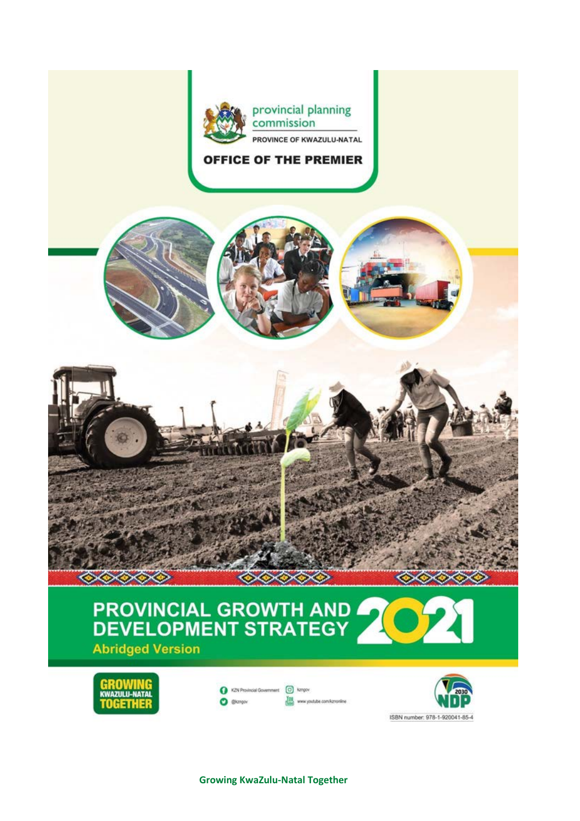

### **OFFICE OF THE PREMIER**





# PROVINCIAL GROWTH AND **Abridged Version**



| C KZN Provincial Government [C] kzngov |                                |
|----------------------------------------|--------------------------------|
| <b>C</b> @kzngov                       | time www.youtube.com/kznonline |

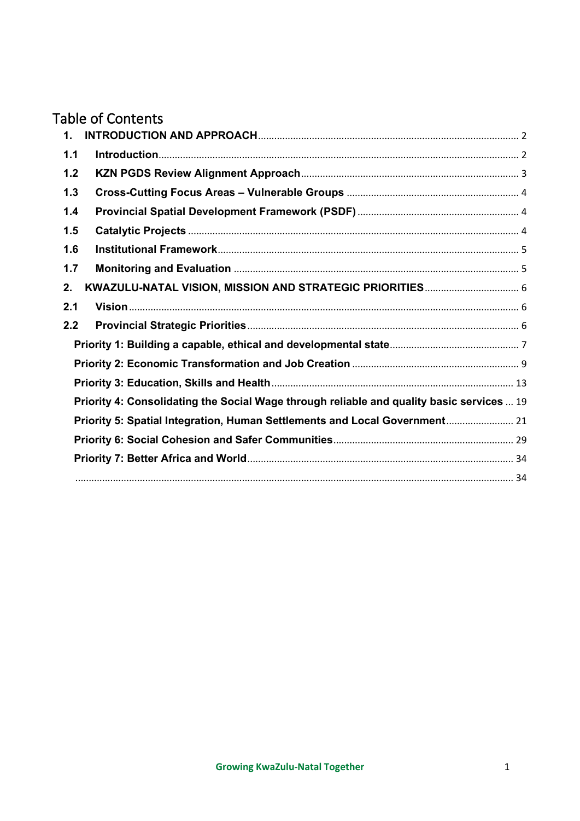## Table of Contents

| $\mathbf{1}$ . |                                                                                           |  |
|----------------|-------------------------------------------------------------------------------------------|--|
| 1.1            |                                                                                           |  |
| 1.2            |                                                                                           |  |
| 1.3            |                                                                                           |  |
| 1.4            |                                                                                           |  |
| 1.5            |                                                                                           |  |
| 1.6            |                                                                                           |  |
| 1.7            |                                                                                           |  |
| 2.             |                                                                                           |  |
| 2.1            |                                                                                           |  |
| 2.2            |                                                                                           |  |
|                |                                                                                           |  |
|                |                                                                                           |  |
|                |                                                                                           |  |
|                | Priority 4: Consolidating the Social Wage through reliable and quality basic services  19 |  |
|                | Priority 5: Spatial Integration, Human Settlements and Local Government 21                |  |
|                |                                                                                           |  |
|                |                                                                                           |  |
|                |                                                                                           |  |
|                |                                                                                           |  |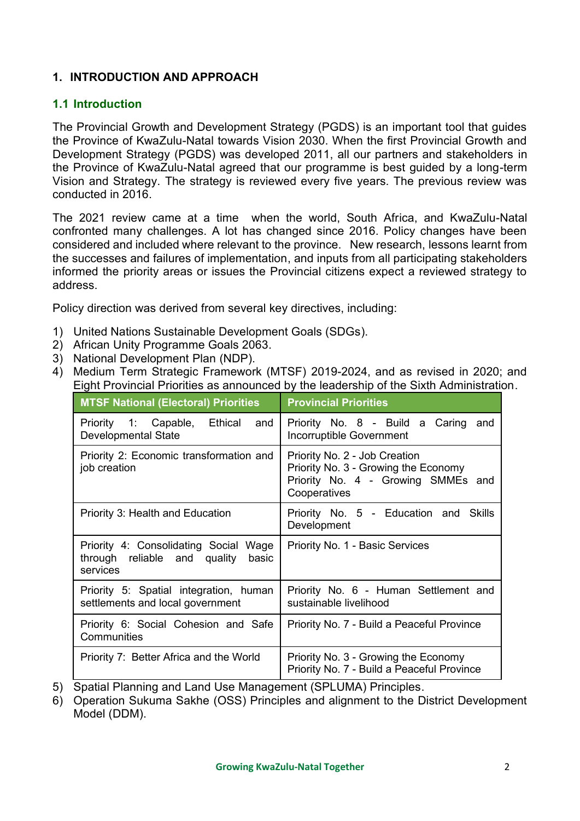### <span id="page-2-0"></span>**1. INTRODUCTION AND APPROACH**

#### <span id="page-2-1"></span>**1.1 Introduction**

The Provincial Growth and Development Strategy (PGDS) is an important tool that guides the Province of KwaZulu-Natal towards Vision 2030. When the first Provincial Growth and Development Strategy (PGDS) was developed 2011, all our partners and stakeholders in the Province of KwaZulu-Natal agreed that our programme is best guided by a long-term Vision and Strategy. The strategy is reviewed every five years. The previous review was conducted in 2016.

The 2021 review came at a time when the world, South Africa, and KwaZulu-Natal confronted many challenges. A lot has changed since 2016. Policy changes have been considered and included where relevant to the province. New research, lessons learnt from the successes and failures of implementation, and inputs from all participating stakeholders informed the priority areas or issues the Provincial citizens expect a reviewed strategy to address.

Policy direction was derived from several key directives, including:

- 1) United Nations Sustainable Development Goals (SDGs).
- 2) African Unity Programme Goals 2063.
- 3) National Development Plan (NDP).
- 4) Medium Term Strategic Framework (MTSF) 2019-2024, and as revised in 2020; and Eight Provincial Priorities as announced by the leadership of the Sixth Administration.

| <b>MTSF National (Electoral) Priorities</b>                                                | <b>Provincial Priorities</b>                                                                                                |
|--------------------------------------------------------------------------------------------|-----------------------------------------------------------------------------------------------------------------------------|
| Priority 1: Capable, Ethical and<br><b>Developmental State</b>                             | Priority No. 8 - Build a Caring and<br>Incorruptible Government                                                             |
| Priority 2: Economic transformation and<br>job creation                                    | Priority No. 2 - Job Creation<br>Priority No. 3 - Growing the Economy<br>Priority No. 4 - Growing SMMEs and<br>Cooperatives |
| Priority 3: Health and Education                                                           | Priority No. 5 - Education and Skills<br>Development                                                                        |
| Priority 4: Consolidating Social Wage<br>through reliable and quality<br>basic<br>services | Priority No. 1 - Basic Services                                                                                             |
| Priority 5: Spatial integration, human<br>settlements and local government                 | Priority No. 6 - Human Settlement and<br>sustainable livelihood                                                             |
| Priority 6: Social Cohesion and Safe<br>Communities                                        | Priority No. 7 - Build a Peaceful Province                                                                                  |
| Priority 7: Better Africa and the World                                                    | Priority No. 3 - Growing the Economy<br>Priority No. 7 - Build a Peaceful Province                                          |

5) Spatial Planning and Land Use Management (SPLUMA) Principles.

6) Operation Sukuma Sakhe (OSS) Principles and alignment to the District Development Model (DDM).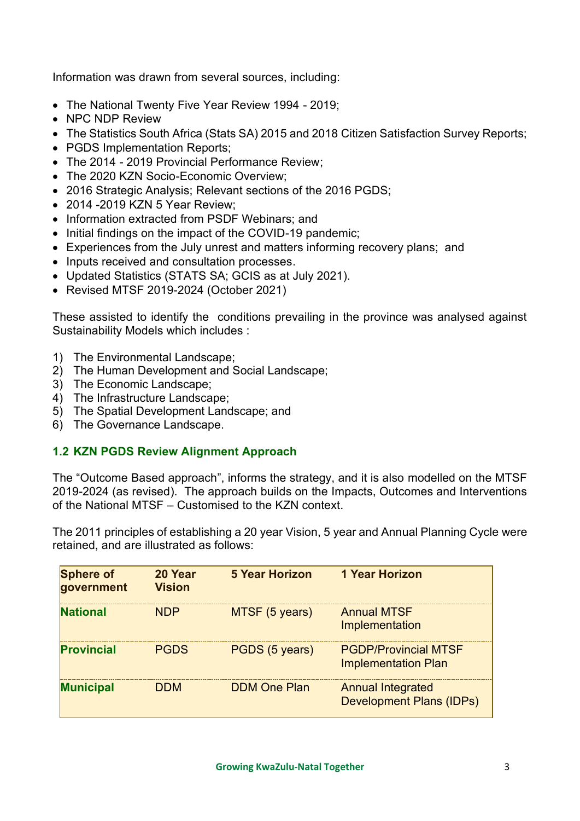Information was drawn from several sources, including:

- The National Twenty Five Year Review 1994 2019;
- NPC NDP Review
- The Statistics South Africa (Stats SA) 2015 and 2018 Citizen Satisfaction Survey Reports;
- PGDS Implementation Reports:
- The 2014 2019 Provincial Performance Review;
- The 2020 KZN Socio-Economic Overview:
- 2016 Strategic Analysis; Relevant sections of the 2016 PGDS;
- 2014 -2019 KZN 5 Year Review;
- Information extracted from PSDF Webinars; and
- Initial findings on the impact of the COVID-19 pandemic:
- Experiences from the July unrest and matters informing recovery plans; and
- Inputs received and consultation processes.
- Updated Statistics (STATS SA; GCIS as at July 2021).
- Revised MTSF 2019-2024 (October 2021)

These assisted to identify the conditions prevailing in the province was analysed against Sustainability Models which includes :

- 1) The Environmental Landscape;
- 2) The Human Development and Social Landscape;
- 3) The Economic Landscape;
- 4) The Infrastructure Landscape;
- 5) The Spatial Development Landscape; and
- 6) The Governance Landscape.

### <span id="page-3-0"></span>**1.2 KZN PGDS Review Alignment Approach**

The "Outcome Based approach", informs the strategy, and it is also modelled on the MTSF 2019-2024 (as revised). The approach builds on the Impacts, Outcomes and Interventions of the National MTSF – Customised to the KZN context.

The 2011 principles of establishing a 20 year Vision, 5 year and Annual Planning Cycle were retained, and are illustrated as follows:

| <b>Sphere of</b><br>qovernment | 20 Year<br><b>Vision</b> | <b>5 Year Horizon</b> | <b>1 Year Horizon</b>                                       |
|--------------------------------|--------------------------|-----------------------|-------------------------------------------------------------|
| <b>National</b>                | <b>NDP</b>               | MTSF (5 years)        | <b>Annual MTSF</b><br>Implementation                        |
| <b>Provincial</b>              | <b>PGDS</b>              | PGDS (5 years)        | <b>PGDP/Provincial MTSF</b><br><b>Implementation Plan</b>   |
| <b>Municipal</b>               | <b>DDM</b>               | <b>DDM One Plan</b>   | <b>Annual Integrated</b><br><b>Development Plans (IDPs)</b> |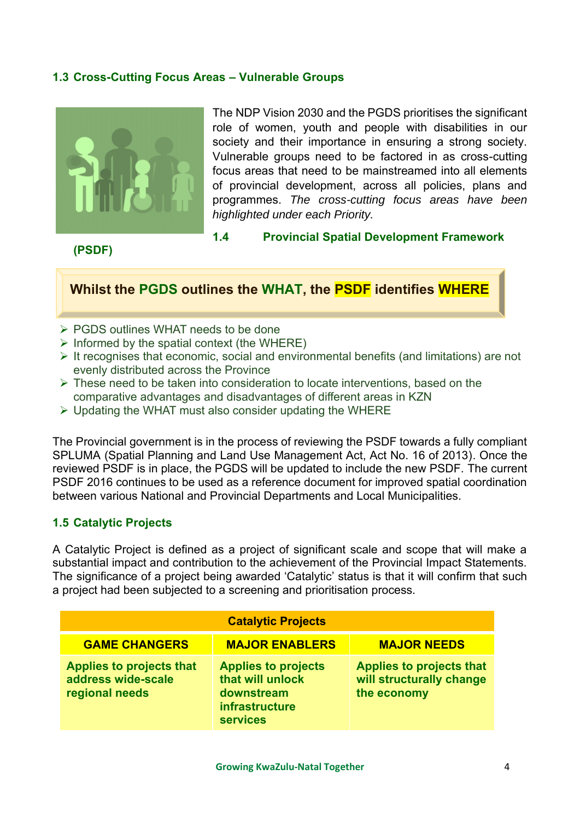#### <span id="page-4-0"></span>**1.3 Cross-Cutting Focus Areas – Vulnerable Groups**



The NDP Vision 2030 and the PGDS prioritises the significant role of women, youth and people with disabilities in our society and their importance in ensuring a strong society. Vulnerable groups need to be factored in as cross-cutting focus areas that need to be mainstreamed into all elements of provincial development, across all policies, plans and programmes. *The cross-cutting focus areas have been highlighted under each Priority.*

#### **(PSDF)**

<span id="page-4-1"></span>**1.4 Provincial Spatial Development Framework** 

### **Whilst the PGDS outlines the WHAT, the PSDF identifies WHERE**

- ➢ PGDS outlines WHAT needs to be done
- $\triangleright$  Informed by the spatial context (the WHERE)
- $\triangleright$  It recognises that economic, social and environmental benefits (and limitations) are not evenly distributed across the Province
- $\triangleright$  These need to be taken into consideration to locate interventions, based on the comparative advantages and disadvantages of different areas in KZN
- ➢ Updating the WHAT must also consider updating the WHERE

The Provincial government is in the process of reviewing the PSDF towards a fully compliant SPLUMA (Spatial Planning and Land Use Management Act, Act No. 16 of 2013). Once the reviewed PSDF is in place, the PGDS will be updated to include the new PSDF. The current PSDF 2016 continues to be used as a reference document for improved spatial coordination between various National and Provincial Departments and Local Municipalities.

#### <span id="page-4-2"></span>**1.5 Catalytic Projects**

A Catalytic Project is defined as a project of significant scale and scope that will make a substantial impact and contribution to the achievement of the Provincial Impact Statements. The significance of a project being awarded 'Catalytic' status is that it will confirm that such a project had been subjected to a screening and prioritisation process.

|                                                                         | <b>Catalytic Projects</b>                                                                         |                                                                            |
|-------------------------------------------------------------------------|---------------------------------------------------------------------------------------------------|----------------------------------------------------------------------------|
| <b>GAME CHANGERS</b>                                                    | <b>MAJOR ENABLERS</b>                                                                             | <b>MAJOR NEEDS</b>                                                         |
| <b>Applies to projects that</b><br>address wide-scale<br>regional needs | <b>Applies to projects</b><br>that will unlock<br>downstream<br>infrastructure<br><b>services</b> | <b>Applies to projects that</b><br>will structurally change<br>the economy |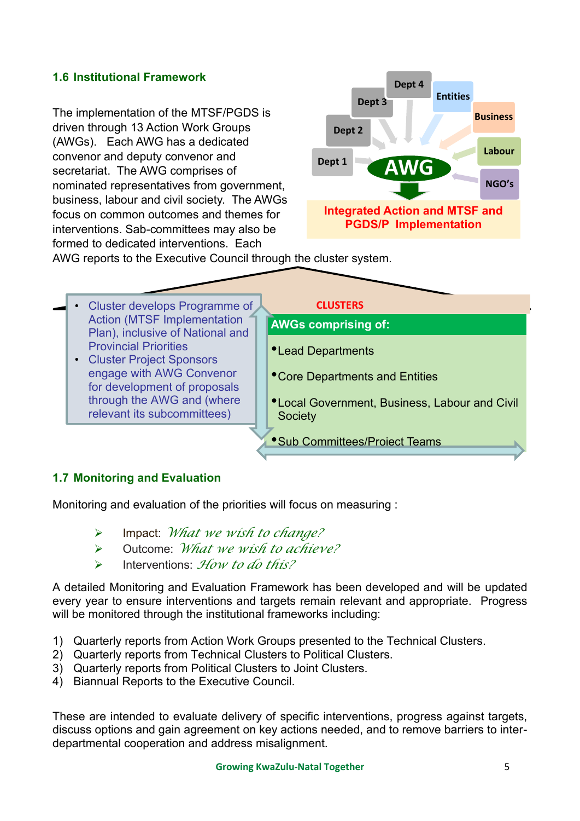### <span id="page-5-0"></span>**1.6 Institutional Framework**

The implementation of the MTSF/PGDS is driven through 13 Action Work Groups (AWGs). Each AWG has a dedicated convenor and deputy convenor and secretariat. The AWG comprises of nominated representatives from government, business, labour and civil society. The AWGs focus on common outcomes and themes for interventions. Sab-committees may also be formed to dedicated interventions. Each



AWG reports to the Executive Council through the cluster system.

- Cluster develops Programme of **CLUSTERS** Action (MTSF Implementation Plan), inclusive of National and Provincial Priorities
	- Cluster Project Sponsors engage with AWG Convenor for development of proposals through the AWG and (where relevant its subcommittees)

- **AWGs comprising of:**
- •Lead Departments
- •Core Departments and Entities
- •Local Government, Business, Labour and Civil **Society**
- •Sub Committees/Project Teams

#### <span id="page-5-1"></span>**1.7 Monitoring and Evaluation**

Monitoring and evaluation of the priorities will focus on measuring :

- ➢ Impact: *What we wish to change?*
- ➢ Outcome: *What we wish to achieve?*
- ➢ Interventions: *How to do this?*

A detailed Monitoring and Evaluation Framework has been developed and will be updated every year to ensure interventions and targets remain relevant and appropriate. Progress will be monitored through the institutional frameworks including:

- 1) Quarterly reports from Action Work Groups presented to the Technical Clusters.
- 2) Quarterly reports from Technical Clusters to Political Clusters.
- 3) Quarterly reports from Political Clusters to Joint Clusters.
- 4) Biannual Reports to the Executive Council.

These are intended to evaluate delivery of specific interventions, progress against targets, discuss options and gain agreement on key actions needed, and to remove barriers to interdepartmental cooperation and address misalignment.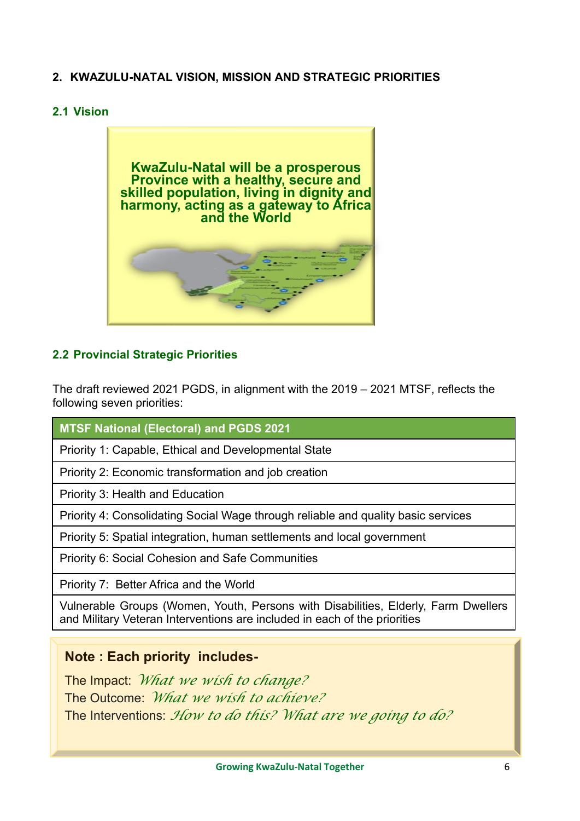### <span id="page-6-0"></span>**2. KWAZULU-NATAL VISION, MISSION AND STRATEGIC PRIORITIES**

#### <span id="page-6-1"></span>**2.1 Vision**



### <span id="page-6-2"></span>**2.2 Provincial Strategic Priorities**

The draft reviewed 2021 PGDS, in alignment with the 2019 – 2021 MTSF, reflects the following seven priorities:

**MTSF National (Electoral) and PGDS 2021**

Priority 1: Capable, Ethical and Developmental State

Priority 2: Economic transformation and job creation

Priority 3: Health and Education

Priority 4: Consolidating Social Wage through reliable and quality basic services

Priority 5: Spatial integration, human settlements and local government

Priority 6: Social Cohesion and Safe Communities

Priority 7: Better Africa and the World

Vulnerable Groups (Women, Youth, Persons with Disabilities, Elderly, Farm Dwellers and Military Veteran Interventions are included in each of the priorities

### **Note : Each priority includes-**

The Impact: *What we wish to change?* The Outcome: *What we wish to achieve?* The Interventions: *How to do this? What are we going to do?*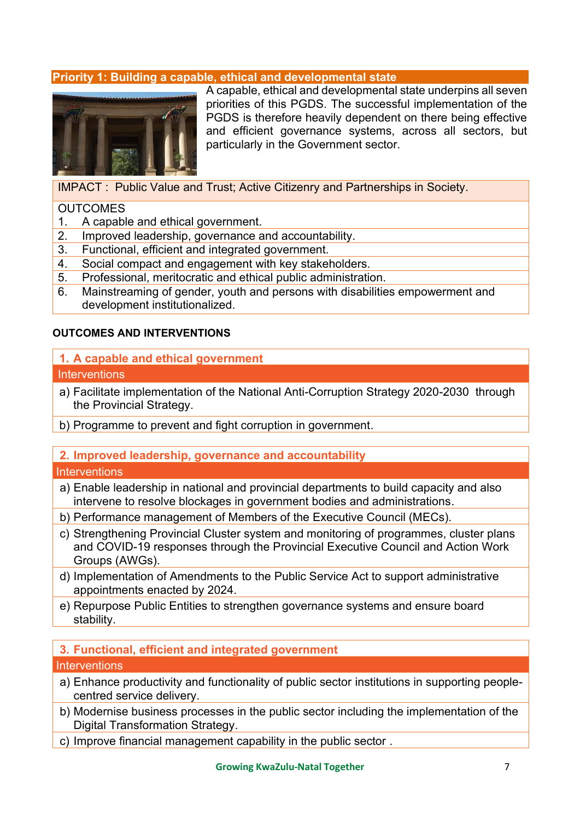#### <span id="page-7-0"></span>**Priority 1: Building a capable, ethical and developmental state**



A capable, ethical and developmental state underpins all seven priorities of this PGDS. The successful implementation of the PGDS is therefore heavily dependent on there being effective and efficient governance systems, across all sectors, but particularly in the Government sector.

IMPACT : Public Value and Trust; Active Citizenry and Partnerships in Society.

#### **OUTCOMES**

- 1. A capable and ethical government.
- 2. Improved leadership, governance and accountability.
- 3. Functional, efficient and integrated government.
- 4. Social compact and engagement with key stakeholders.
- 5. Professional, meritocratic and ethical public administration.
- 6. Mainstreaming of gender, youth and persons with disabilities empowerment and development institutionalized.

#### **OUTCOMES AND INTERVENTIONS**

#### **1. A capable and ethical government**

#### **Interventions**

- a) Facilitate implementation of the National Anti-Corruption Strategy 2020-2030 through the Provincial Strategy.
- b) Programme to prevent and fight corruption in government.
- **2. Improved leadership, governance and accountability**

#### **Interventions**

- a) Enable leadership in national and provincial departments to build capacity and also intervene to resolve blockages in government bodies and administrations.
- b) Performance management of Members of the Executive Council (MECs).
- c) Strengthening Provincial Cluster system and monitoring of programmes, cluster plans and COVID-19 responses through the Provincial Executive Council and Action Work Groups (AWGs).
- d) Implementation of Amendments to the Public Service Act to support administrative appointments enacted by 2024.
- e) Repurpose Public Entities to strengthen governance systems and ensure board stability.

#### **3. Functional, efficient and integrated government Interventions**

- a) Enhance productivity and functionality of public sector institutions in supporting peoplecentred service delivery.
- b) Modernise business processes in the public sector including the implementation of the Digital Transformation Strategy.
- c) Improve financial management capability in the public sector .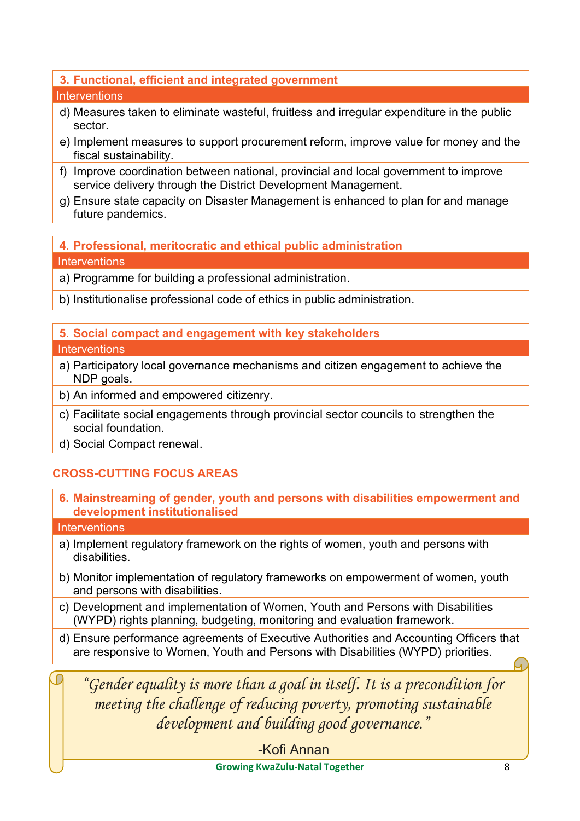### **3. Functional, efficient and integrated government**

#### **Interventions**

- d) Measures taken to eliminate wasteful, fruitless and irregular expenditure in the public sector.
- e) Implement measures to support procurement reform, improve value for money and the fiscal sustainability.
- f) Improve coordination between national, provincial and local government to improve service delivery through the District Development Management.
- g) Ensure state capacity on Disaster Management is enhanced to plan for and manage future pandemics.

**4. Professional, meritocratic and ethical public administration Interventions** 

a) Programme for building a professional administration.

b) Institutionalise professional code of ethics in public administration.

### **5. Social compact and engagement with key stakeholders**

#### **Interventions**

- a) Participatory local governance mechanisms and citizen engagement to achieve the NDP goals.
- b) An informed and empowered citizenry.
- c) Facilitate social engagements through provincial sector councils to strengthen the social foundation.
- d) Social Compact renewal.

### **CROSS-CUTTING FOCUS AREAS**

**6. Mainstreaming of gender, youth and persons with disabilities empowerment and development institutionalised**

#### **Interventions**

- a) Implement regulatory framework on the rights of women, youth and persons with disabilities.
- b) Monitor implementation of regulatory frameworks on empowerment of women, youth and persons with disabilities.
- c) Development and implementation of Women, Youth and Persons with Disabilities (WYPD) rights planning, budgeting, monitoring and evaluation framework.
- d) Ensure performance agreements of Executive Authorities and Accounting Officers that are responsive to Women, Youth and Persons with Disabilities (WYPD) priorities.

*"Gender equality is more than a goal in itself. It is a precondition for meeting the challenge of reducing poverty, promoting sustainable development and building good governance."* 

-Kofi Annan

**Growing KwaZulu-Natal Together** 8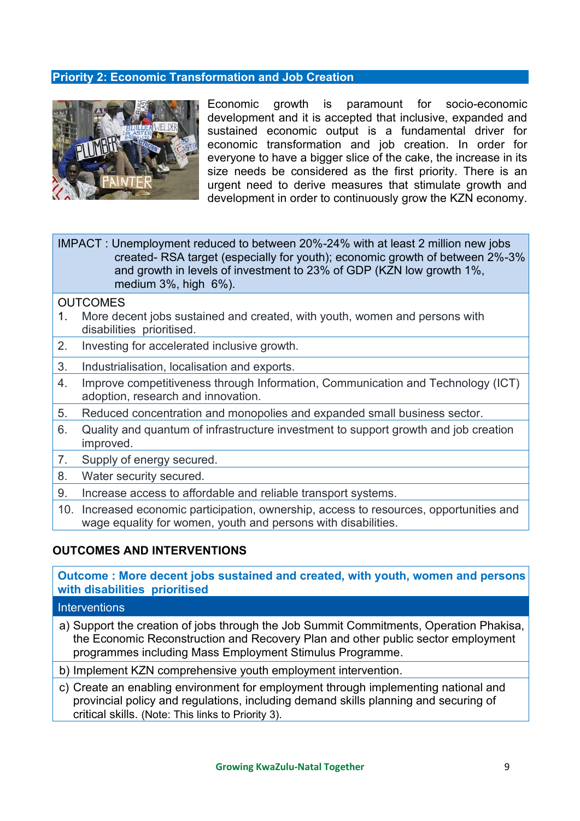#### <span id="page-9-0"></span>**Priority 2: Economic Transformation and Job Creation**



Economic growth is paramount for socio-economic development and it is accepted that inclusive, expanded and sustained economic output is a fundamental driver for economic transformation and job creation. In order for everyone to have a bigger slice of the cake, the increase in its size needs be considered as the first priority. There is an urgent need to derive measures that stimulate growth and development in order to continuously grow the KZN economy.

IMPACT : Unemployment reduced to between 20%-24% with at least 2 million new jobs created- RSA target (especially for youth); economic growth of between 2%-3% and growth in levels of investment to 23% of GDP (KZN low growth 1%, medium 3%, high 6%).

#### **OUTCOMES**

- 1. More decent jobs sustained and created, with youth, women and persons with disabilities prioritised.
- 2. Investing for accelerated inclusive growth.
- 3. Industrialisation, localisation and exports.
- 4. Improve competitiveness through Information, Communication and Technology (ICT) adoption, research and innovation.
- 5. Reduced concentration and monopolies and expanded small business sector.
- 6. Quality and quantum of infrastructure investment to support growth and job creation improved.
- 7. Supply of energy secured.
- 8. Water security secured.
- 9. Increase access to affordable and reliable transport systems.
- 10. Increased economic participation, ownership, access to resources, opportunities and wage equality for women, youth and persons with disabilities.

#### **OUTCOMES AND INTERVENTIONS**

**Outcome : More decent jobs sustained and created, with youth, women and persons with disabilities prioritised**

- a) Support the creation of jobs through the Job Summit Commitments, Operation Phakisa, the Economic Reconstruction and Recovery Plan and other public sector employment programmes including Mass Employment Stimulus Programme.
- b) Implement KZN comprehensive youth employment intervention.
- c) Create an enabling environment for employment through implementing national and provincial policy and regulations, including demand skills planning and securing of critical skills. (Note: This links to Priority 3).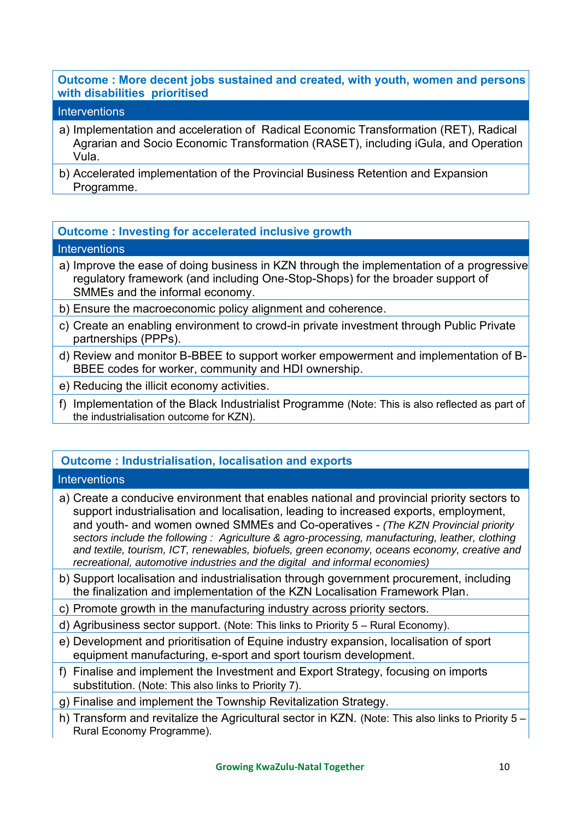#### **Outcome : More decent jobs sustained and created, with youth, women and persons with disabilities prioritised**

#### **Interventions**

- a) Implementation and acceleration of Radical Economic Transformation (RET), Radical Agrarian and Socio Economic Transformation (RASET), including iGula, and Operation Vula.
- b) Accelerated implementation of the Provincial Business Retention and Expansion Programme.

#### **Outcome : Investing for accelerated inclusive growth**

#### **Interventions**

- a) Improve the ease of doing business in KZN through the implementation of a progressive regulatory framework (and including One-Stop-Shops) for the broader support of SMMEs and the informal economy.
- b) Ensure the macroeconomic policy alignment and coherence.
- c) Create an enabling environment to crowd-in private investment through Public Private partnerships (PPPs).
- d) Review and monitor B-BBEE to support worker empowerment and implementation of B-BBEE codes for worker, community and HDI ownership.
- e) Reducing the illicit economy activities.
- f) Implementation of the Black Industrialist Programme (Note: This is also reflected as part of the industrialisation outcome for KZN).

### **Outcome : Industrialisation, localisation and exports**

- a) Create a conducive environment that enables national and provincial priority sectors to support industrialisation and localisation, leading to increased exports, employment, and youth- and women owned SMMEs and Co-operatives - *(The KZN Provincial priority sectors include the following : Agriculture & agro-processing, manufacturing, leather, clothing and textile, tourism, ICT, renewables, biofuels, green economy, oceans economy, creative and recreational, automotive industries and the digital and informal economies)*
- b) Support localisation and industrialisation through government procurement, including the finalization and implementation of the KZN Localisation Framework Plan.
- c) Promote growth in the manufacturing industry across priority sectors.
- d) Agribusiness sector support. (Note: This links to Priority 5 Rural Economy).
- e) Development and prioritisation of Equine industry expansion, localisation of sport equipment manufacturing, e-sport and sport tourism development.
- f) Finalise and implement the Investment and Export Strategy, focusing on imports substitution. (Note: This also links to Priority 7).
- g) Finalise and implement the Township Revitalization Strategy.
- h) Transform and revitalize the Agricultural sector in KZN. (Note: This also links to Priority 5 Rural Economy Programme).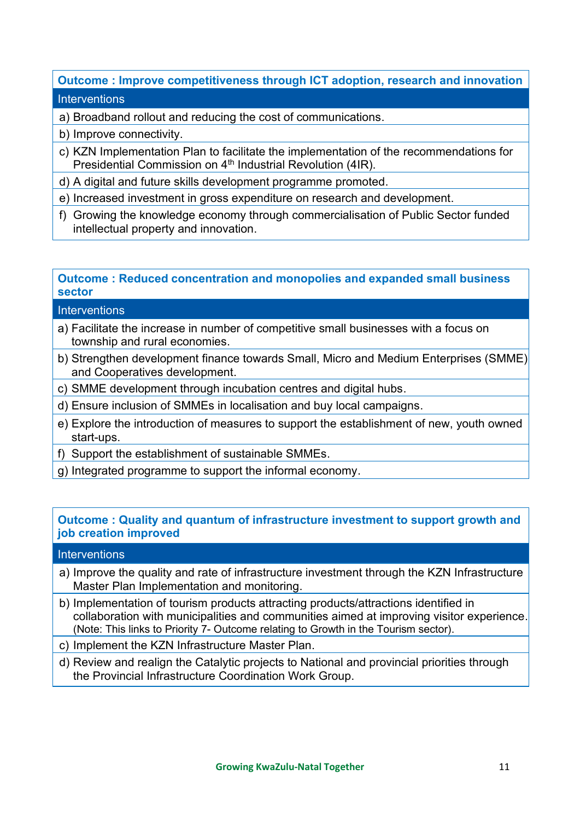### **Outcome : Improve competitiveness through ICT adoption, research and innovation Interventions**

- a) Broadband rollout and reducing the cost of communications.
- b) Improve connectivity.
- c) KZN Implementation Plan to facilitate the implementation of the recommendations for Presidential Commission on 4<sup>th</sup> Industrial Revolution (4IR).
- d) A digital and future skills development programme promoted.
- e) Increased investment in gross expenditure on research and development.
- f) Growing the knowledge economy through commercialisation of Public Sector funded intellectual property and innovation.

### **Outcome : Reduced concentration and monopolies and expanded small business sector**

#### **Interventions**

- a) Facilitate the increase in number of competitive small businesses with a focus on township and rural economies.
- b) Strengthen development finance towards Small, Micro and Medium Enterprises (SMME) and Cooperatives development.
- c) SMME development through incubation centres and digital hubs.
- d) Ensure inclusion of SMMEs in localisation and buy local campaigns.
- e) Explore the introduction of measures to support the establishment of new, youth owned start-ups.
- f) Support the establishment of sustainable SMMEs.
- g) Integrated programme to support the informal economy.

#### **Outcome : Quality and quantum of infrastructure investment to support growth and job creation improved**

- a) Improve the quality and rate of infrastructure investment through the KZN Infrastructure Master Plan Implementation and monitoring.
- b) Implementation of tourism products attracting products/attractions identified in collaboration with municipalities and communities aimed at improving visitor experience. (Note: This links to Priority 7- Outcome relating to Growth in the Tourism sector).
- c) Implement the KZN Infrastructure Master Plan.
- d) Review and realign the Catalytic projects to National and provincial priorities through the Provincial Infrastructure Coordination Work Group.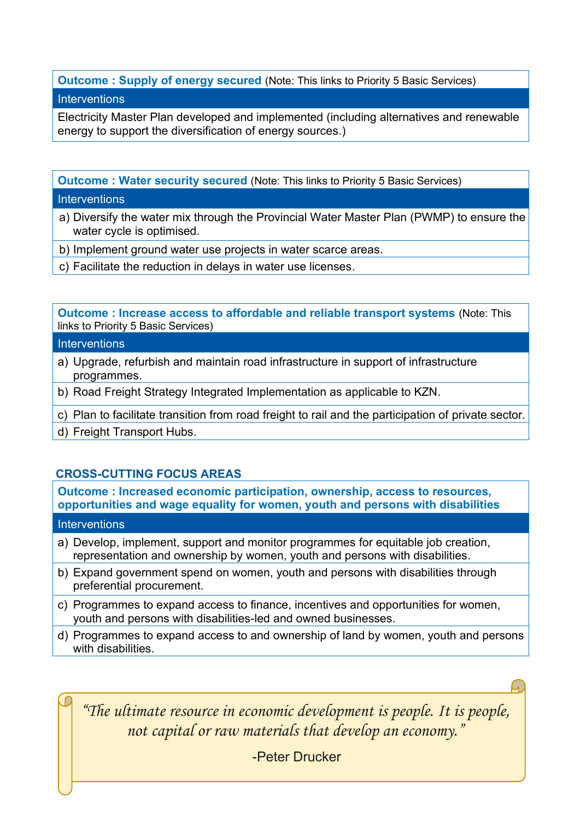# **Outcome : Supply of energy secured** (Note: This links to Priority 5 Basic Services)

#### **Interventions**

Electricity Master Plan developed and implemented (including alternatives and renewable energy to support the diversification of energy sources.)

**Outcome : Water security secured** (Note: This links to Priority 5 Basic Services)

#### **Interventions**

- a) Diversify the water mix through the Provincial Water Master Plan (PWMP) to ensure the water cycle is optimised.
- b) Implement ground water use projects in water scarce areas.
- c) Facilitate the reduction in delays in water use licenses.

**Outcome : Increase access to affordable and reliable transport systems** (Note: This links to Priority 5 Basic Services)

### **Interventions**

- a) Upgrade, refurbish and maintain road infrastructure in support of infrastructure programmes.
- b) Road Freight Strategy Integrated Implementation as applicable to KZN.
- c) Plan to facilitate transition from road freight to rail and the participation of private sector.
- d) Freight Transport Hubs.

### **CROSS-CUTTING FOCUS AREAS**

**Outcome : Increased economic participation, ownership, access to resources, opportunities and wage equality for women, youth and persons with disabilities**

#### **Interventions**

- a) Develop, implement, support and monitor programmes for equitable job creation, representation and ownership by women, youth and persons with disabilities.
- b) Expand government spend on women, youth and persons with disabilities through preferential procurement.
- c) Programmes to expand access to finance, incentives and opportunities for women, youth and persons with disabilities-led and owned businesses.
- d) Programmes to expand access to and ownership of land by women, youth and persons with disabilities

*"The ultimate resource in economic development is people. It is people, not capital or raw materials that develop an economy."* 

-Peter Drucker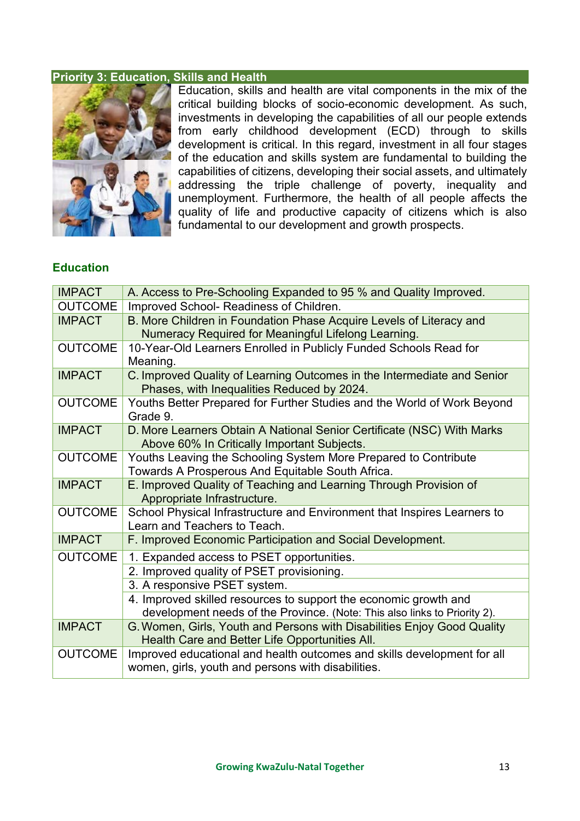### <span id="page-13-0"></span>**Priority 3: Education, Skills and Health**



Education, skills and health are vital components in the mix of the critical building blocks of socio-economic development. As such, investments in developing the capabilities of all our people extends from early childhood development (ECD) through to skills development is critical. In this regard, investment in all four stages of the education and skills system are fundamental to building the capabilities of citizens, developing their social assets, and ultimately addressing the triple challenge of poverty, inequality and unemployment. Furthermore, the health of all people affects the quality of life and productive capacity of citizens which is also fundamental to our development and growth prospects.

#### **Education**

| <b>IMPACT</b>  | A. Access to Pre-Schooling Expanded to 95 % and Quality Improved.                                                                             |
|----------------|-----------------------------------------------------------------------------------------------------------------------------------------------|
| <b>OUTCOME</b> | Improved School- Readiness of Children.                                                                                                       |
| <b>IMPACT</b>  | B. More Children in Foundation Phase Acquire Levels of Literacy and<br>Numeracy Required for Meaningful Lifelong Learning.                    |
| <b>OUTCOME</b> | 10-Year-Old Learners Enrolled in Publicly Funded Schools Read for<br>Meaning.                                                                 |
| <b>IMPACT</b>  | C. Improved Quality of Learning Outcomes in the Intermediate and Senior<br>Phases, with Inequalities Reduced by 2024.                         |
| <b>OUTCOME</b> | Youths Better Prepared for Further Studies and the World of Work Beyond<br>Grade 9.                                                           |
| <b>IMPACT</b>  | D. More Learners Obtain A National Senior Certificate (NSC) With Marks<br>Above 60% In Critically Important Subjects.                         |
| <b>OUTCOME</b> | Youths Leaving the Schooling System More Prepared to Contribute<br>Towards A Prosperous And Equitable South Africa.                           |
| <b>IMPACT</b>  | E. Improved Quality of Teaching and Learning Through Provision of<br>Appropriate Infrastructure.                                              |
| <b>OUTCOME</b> | School Physical Infrastructure and Environment that Inspires Learners to<br>Learn and Teachers to Teach.                                      |
| <b>IMPACT</b>  | F. Improved Economic Participation and Social Development.                                                                                    |
| <b>OUTCOME</b> | 1. Expanded access to PSET opportunities.                                                                                                     |
|                | 2. Improved quality of PSET provisioning.                                                                                                     |
|                | 3. A responsive PSET system.                                                                                                                  |
|                | 4. Improved skilled resources to support the economic growth and<br>development needs of the Province. (Note: This also links to Priority 2). |
| <b>IMPACT</b>  | G. Women, Girls, Youth and Persons with Disabilities Enjoy Good Quality<br>Health Care and Better Life Opportunities All.                     |
| <b>OUTCOME</b> | Improved educational and health outcomes and skills development for all<br>women, girls, youth and persons with disabilities.                 |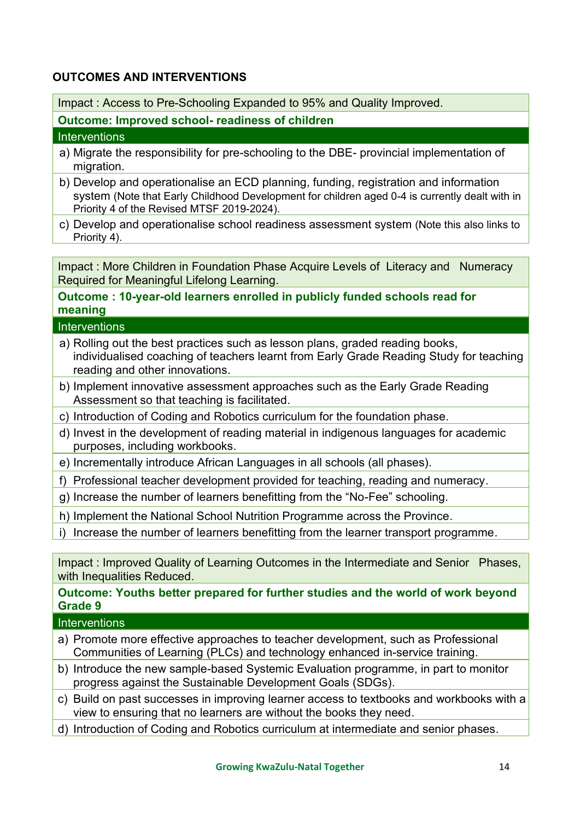### **OUTCOMES AND INTERVENTIONS**

Impact : Access to Pre-Schooling Expanded to 95% and Quality Improved.

**Outcome: Improved school- readiness of children** 

#### **Interventions**

- a) Migrate the responsibility for pre-schooling to the DBE- provincial implementation of migration.
- b) Develop and operationalise an ECD planning, funding, registration and information system (Note that Early Childhood Development for children aged 0-4 is currently dealt with in Priority 4 of the Revised MTSF 2019-2024).
- c) Develop and operationalise school readiness assessment system (Note this also links to Priority 4).

Impact : More Children in Foundation Phase Acquire Levels of Literacy and Numeracy Required for Meaningful Lifelong Learning.

### **Outcome : 10-year-old learners enrolled in publicly funded schools read for meaning**

#### **Interventions**

- a) Rolling out the best practices such as lesson plans, graded reading books, individualised coaching of teachers learnt from Early Grade Reading Study for teaching reading and other innovations.
- b) Implement innovative assessment approaches such as the Early Grade Reading Assessment so that teaching is facilitated.
- c) Introduction of Coding and Robotics curriculum for the foundation phase.
- d) Invest in the development of reading material in indigenous languages for academic purposes, including workbooks.
- e) Incrementally introduce African Languages in all schools (all phases).
- f) Professional teacher development provided for teaching, reading and numeracy.
- g) Increase the number of learners benefitting from the "No-Fee" schooling.
- h) Implement the National School Nutrition Programme across the Province.
- i) Increase the number of learners benefitting from the learner transport programme.

Impact : Improved Quality of Learning Outcomes in the Intermediate and Senior Phases, with Inequalities Reduced.

**Outcome: Youths better prepared for further studies and the world of work beyond Grade 9** 

- a) Promote more effective approaches to teacher development, such as Professional Communities of Learning (PLCs) and technology enhanced in-service training.
- b) Introduce the new sample-based Systemic Evaluation programme, in part to monitor progress against the Sustainable Development Goals (SDGs).
- c) Build on past successes in improving learner access to textbooks and workbooks with a view to ensuring that no learners are without the books they need.
- d) Introduction of Coding and Robotics curriculum at intermediate and senior phases.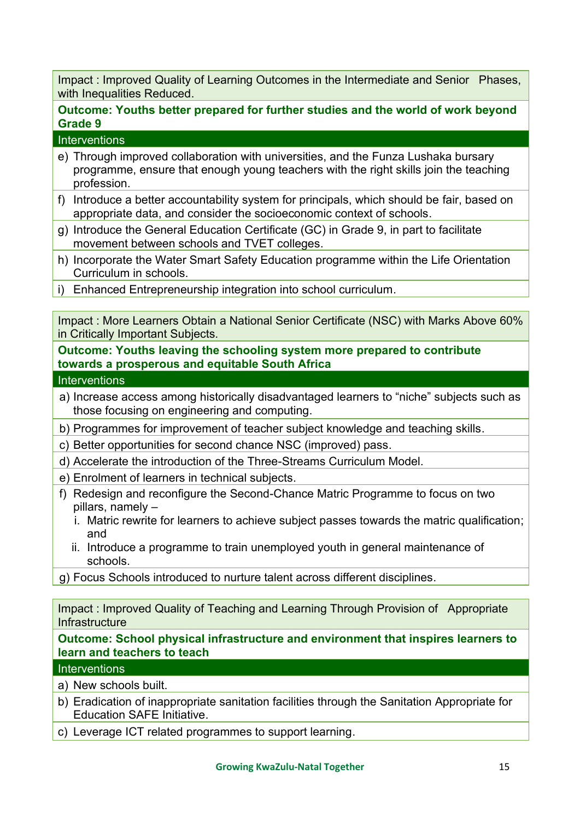Impact : Improved Quality of Learning Outcomes in the Intermediate and Senior Phases, with Inequalities Reduced.

### **Outcome: Youths better prepared for further studies and the world of work beyond Grade 9**

#### **Interventions**

- e) Through improved collaboration with universities, and the Funza Lushaka bursary programme, ensure that enough young teachers with the right skills join the teaching profession.
- f) Introduce a better accountability system for principals, which should be fair, based on appropriate data, and consider the socioeconomic context of schools.
- g) Introduce the General Education Certificate (GC) in Grade 9, in part to facilitate movement between schools and TVET colleges.
- h) Incorporate the Water Smart Safety Education programme within the Life Orientation Curriculum in schools.
- i) Enhanced Entrepreneurship integration into school curriculum.

Impact : More Learners Obtain a National Senior Certificate (NSC) with Marks Above 60% in Critically Important Subjects.

**Outcome: Youths leaving the schooling system more prepared to contribute towards a prosperous and equitable South Africa** 

**Interventions** 

- a) Increase access among historically disadvantaged learners to "niche" subjects such as those focusing on engineering and computing.
- b) Programmes for improvement of teacher subject knowledge and teaching skills.
- c) Better opportunities for second chance NSC (improved) pass.
- d) Accelerate the introduction of the Three-Streams Curriculum Model.
- e) Enrolment of learners in technical subjects.
- f) Redesign and reconfigure the Second-Chance Matric Programme to focus on two pillars, namely –
	- i. Matric rewrite for learners to achieve subject passes towards the matric qualification; and
	- ii. Introduce a programme to train unemployed youth in general maintenance of schools.
- g) Focus Schools introduced to nurture talent across different disciplines.

Impact : Improved Quality of Teaching and Learning Through Provision of Appropriate **Infrastructure** 

#### **Outcome: School physical infrastructure and environment that inspires learners to learn and teachers to teach**

- a) New schools built.
- b) Eradication of inappropriate sanitation facilities through the Sanitation Appropriate for Education SAFE Initiative.
- c) Leverage ICT related programmes to support learning.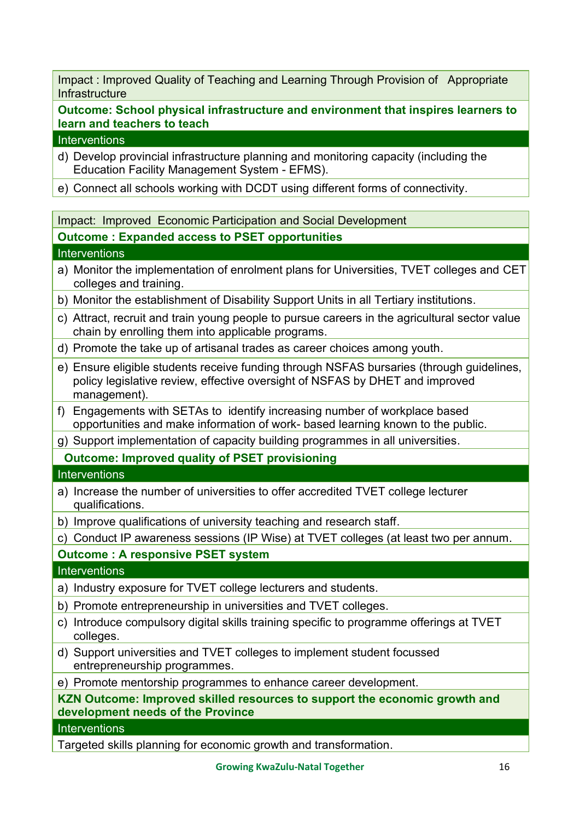Impact : Improved Quality of Teaching and Learning Through Provision of Appropriate **Infrastructure** 

**Outcome: School physical infrastructure and environment that inspires learners to learn and teachers to teach**

#### **Interventions**

- d) Develop provincial infrastructure planning and monitoring capacity (including the Education Facility Management System - EFMS).
- e) Connect all schools working with DCDT using different forms of connectivity.

Impact: Improved Economic Participation and Social Development

#### **Outcome : Expanded access to PSET opportunities**

#### **Interventions**

- a) Monitor the implementation of enrolment plans for Universities, TVET colleges and CET colleges and training.
- b) Monitor the establishment of Disability Support Units in all Tertiary institutions.
- c) Attract, recruit and train young people to pursue careers in the agricultural sector value chain by enrolling them into applicable programs.
- d) Promote the take up of artisanal trades as career choices among youth.
- e) Ensure eligible students receive funding through NSFAS bursaries (through guidelines, policy legislative review, effective oversight of NSFAS by DHET and improved management).
- f) Engagements with SETAs to identify increasing number of workplace based opportunities and make information of work- based learning known to the public.
- g) Support implementation of capacity building programmes in all universities.

**Outcome: Improved quality of PSET provisioning** 

#### **Interventions**

- a) Increase the number of universities to offer accredited TVET college lecturer qualifications.
- b) Improve qualifications of university teaching and research staff.
- c) Conduct IP awareness sessions (IP Wise) at TVET colleges (at least two per annum.

### **Outcome : A responsive PSET system**

#### **Interventions**

- a) Industry exposure for TVET college lecturers and students.
- b) Promote entrepreneurship in universities and TVET colleges.
- c) Introduce compulsory digital skills training specific to programme offerings at TVET colleges.
- d) Support universities and TVET colleges to implement student focussed entrepreneurship programmes.

e) Promote mentorship programmes to enhance career development.

**KZN Outcome: Improved skilled resources to support the economic growth and development needs of the Province**

#### **Interventions**

Targeted skills planning for economic growth and transformation.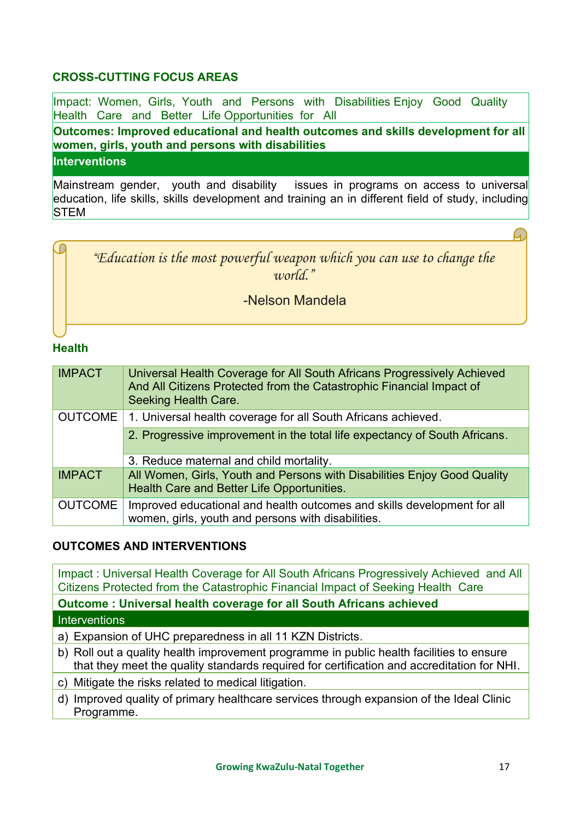### **CROSS-CUTTING FOCUS AREAS**

Impact: Women, Girls, Youth and Persons with Disabilities Enjoy Good Quality Health Care and Better Life Opportunities for All

**Outcomes: Improved educational and health outcomes and skills development for all women, girls, youth and persons with disabilities**

**Interventions** 

Mainstream gender, youth and disability issues in programs on access to universal education, life skills, skills development and training an in different field of study, including **STEM** 



### **Health**

| <b>IMPACT</b>  | Universal Health Coverage for All South Africans Progressively Achieved<br>And All Citizens Protected from the Catastrophic Financial Impact of<br><b>Seeking Health Care.</b> |
|----------------|--------------------------------------------------------------------------------------------------------------------------------------------------------------------------------|
| <b>OUTCOME</b> | 1. Universal health coverage for all South Africans achieved.                                                                                                                  |
|                | 2. Progressive improvement in the total life expectancy of South Africans.                                                                                                     |
|                | 3. Reduce maternal and child mortality.                                                                                                                                        |
| <b>IMPACT</b>  | All Women, Girls, Youth and Persons with Disabilities Enjoy Good Quality<br>Health Care and Better Life Opportunities.                                                         |
| <b>OUTCOME</b> | Improved educational and health outcomes and skills development for all<br>women, girls, youth and persons with disabilities.                                                  |

### **OUTCOMES AND INTERVENTIONS**

Impact : Universal Health Coverage for All South Africans Progressively Achieved and All Citizens Protected from the Catastrophic Financial Impact of Seeking Health Care **Outcome : Universal health coverage for all South Africans achieved Interventions** 

a) Expansion of UHC preparedness in all 11 KZN Districts.

- b) Roll out a quality health improvement programme in public health facilities to ensure that they meet the quality standards required for certification and accreditation for NHI.
- c) Mitigate the risks related to medical litigation.
- d) Improved quality of primary healthcare services through expansion of the Ideal Clinic Programme.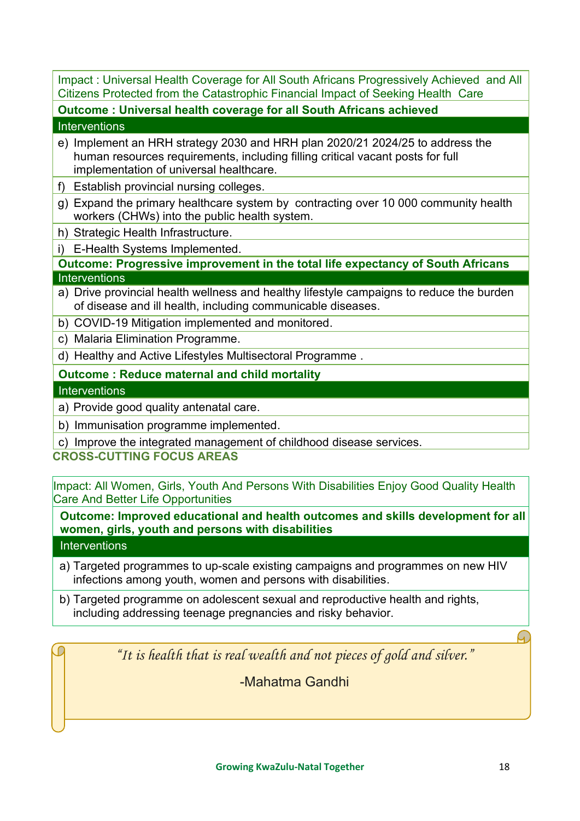Impact : Universal Health Coverage for All South Africans Progressively Achieved and All Citizens Protected from the Catastrophic Financial Impact of Seeking Health Care

**Outcome : Universal health coverage for all South Africans achieved** 

#### **Interventions**

- e) Implement an HRH strategy 2030 and HRH plan 2020/21 2024/25 to address the human resources requirements, including filling critical vacant posts for full implementation of universal healthcare.
- f) Establish provincial nursing colleges.
- g) Expand the primary healthcare system by contracting over 10 000 community health workers (CHWs) into the public health system.
- h) Strategic Health Infrastructure.
- i) E-Health Systems Implemented.

**Outcome: Progressive improvement in the total life expectancy of South Africans Interventions** 

- a) Drive provincial health wellness and healthy lifestyle campaigns to reduce the burden of disease and ill health, including communicable diseases.
- b) COVID-19 Mitigation implemented and monitored.
- c) Malaria Elimination Programme.
- d) Healthy and Active Lifestyles Multisectoral Programme .

### **Outcome : Reduce maternal and child mortality**

#### **Interventions**

- a) Provide good quality antenatal care.
- b) Immunisation programme implemented.

c) Improve the integrated management of childhood disease services.

### **CROSS-CUTTING FOCUS AREAS**

Impact: All Women, Girls, Youth And Persons With Disabilities Enjoy Good Quality Health Care And Better Life Opportunities

**Outcome: Improved educational and health outcomes and skills development for all women, girls, youth and persons with disabilities**

### **Interventions**

- a) Targeted programmes to up-scale existing campaigns and programmes on new HIV infections among youth, women and persons with disabilities.
- b) Targeted programme on adolescent sexual and reproductive health and rights, including addressing teenage pregnancies and risky behavior.

*"It is health that is real wealth and not pieces of gold and silver."*

-Mahatma Gandhi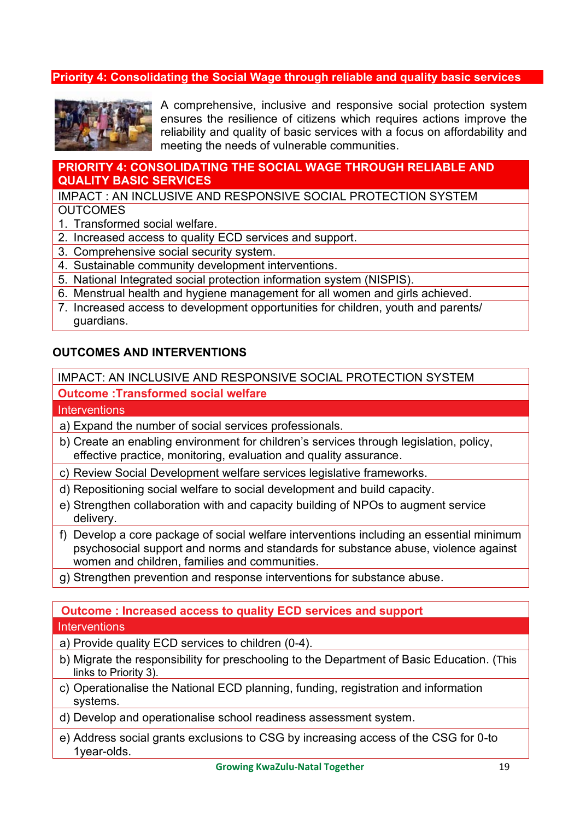#### <span id="page-19-0"></span>**Priority 4: Consolidating the Social Wage through reliable and quality basic services**



A comprehensive, inclusive and responsive social protection system ensures the resilience of citizens which requires actions improve the reliability and quality of basic services with a focus on affordability and meeting the needs of vulnerable communities.

#### **PRIORITY 4: CONSOLIDATING THE SOCIAL WAGE THROUGH RELIABLE AND QUALITY BASIC SERVICES**

#### IMPACT : AN INCLUSIVE AND RESPONSIVE SOCIAL PROTECTION SYSTEM **OUTCOMES**

- 1. Transformed social welfare.
- 2. Increased access to quality ECD services and support.
- 3. Comprehensive social security system.
- 4. Sustainable community development interventions.
- 5. National Integrated social protection information system (NISPIS).
- 6. Menstrual health and hygiene management for all women and girls achieved.
- 7. Increased access to development opportunities for children, youth and parents/ guardians.

#### **OUTCOMES AND INTERVENTIONS**

#### IMPACT: AN INCLUSIVE AND RESPONSIVE SOCIAL PROTECTION SYSTEM

#### **Outcome :Transformed social welfare**

#### **Interventions**

- a) Expand the number of social services professionals.
- b) Create an enabling environment for children's services through legislation, policy, effective practice, monitoring, evaluation and quality assurance.
- c) Review Social Development welfare services legislative frameworks.
- d) Repositioning social welfare to social development and build capacity.
- e) Strengthen collaboration with and capacity building of NPOs to augment service delivery.
- f) Develop a core package of social welfare interventions including an essential minimum psychosocial support and norms and standards for substance abuse, violence against women and children, families and communities.
- g) Strengthen prevention and response interventions for substance abuse.

### **Outcome : Increased access to quality ECD services and support**

- a) Provide quality ECD services to children (0-4).
- b) Migrate the responsibility for preschooling to the Department of Basic Education. (This links to Priority 3).
- c) Operationalise the National ECD planning, funding, registration and information systems.
- d) Develop and operationalise school readiness assessment system.
- e) Address social grants exclusions to CSG by increasing access of the CSG for 0-to 1year-olds.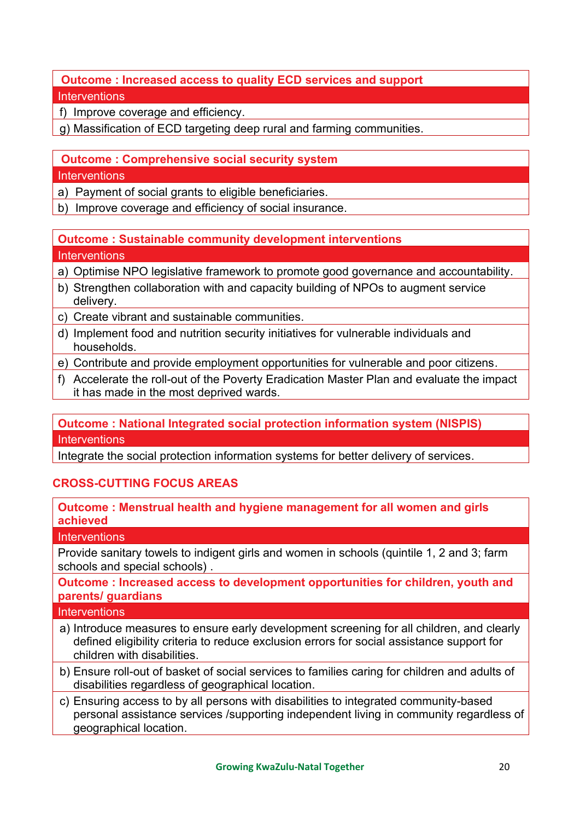### **Outcome : Increased access to quality ECD services and support Interventions**

f) Improve coverage and efficiency.

g) Massification of ECD targeting deep rural and farming communities.

### **Outcome : Comprehensive social security system**

#### **Interventions**

- a) Payment of social grants to eligible beneficiaries.
- b) Improve coverage and efficiency of social insurance.

#### **Outcome : Sustainable community development interventions Interventions**

- a) Optimise NPO legislative framework to promote good governance and accountability.
- b) Strengthen collaboration with and capacity building of NPOs to augment service delivery.
- c) Create vibrant and sustainable communities.
- d) Implement food and nutrition security initiatives for vulnerable individuals and households.
- e) Contribute and provide employment opportunities for vulnerable and poor citizens.
- f) Accelerate the roll-out of the Poverty Eradication Master Plan and evaluate the impact it has made in the most deprived wards.

### **Outcome : National Integrated social protection information system (NISPIS) Interventions**

Integrate the social protection information systems for better delivery of services.

### **CROSS-CUTTING FOCUS AREAS**

### **Outcome : Menstrual health and hygiene management for all women and girls achieved**

#### **Interventions**

Provide sanitary towels to indigent girls and women in schools (quintile 1, 2 and 3; farm schools and special schools) .

### **Outcome : Increased access to development opportunities for children, youth and parents/ guardians**

- a) Introduce measures to ensure early development screening for all children, and clearly defined eligibility criteria to reduce exclusion errors for social assistance support for children with disabilities.
- b) Ensure roll-out of basket of social services to families caring for children and adults of disabilities regardless of geographical location.
- c) Ensuring access to by all persons with disabilities to integrated community-based personal assistance services /supporting independent living in community regardless of geographical location.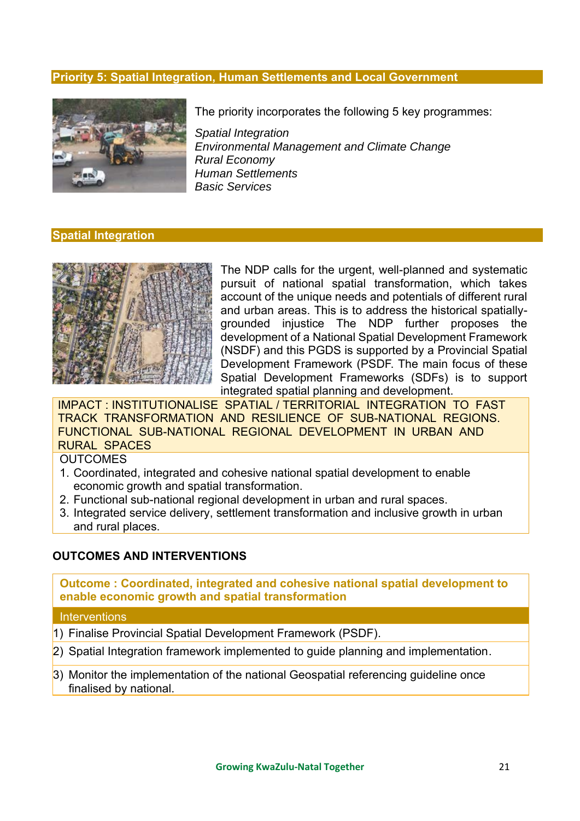#### <span id="page-21-0"></span>**Priority 5: Spatial Integration, Human Settlements and Local Government**



The priority incorporates the following 5 key programmes:

*Spatial Integration Environmental Management and Climate Change Rural Economy Human Settlements Basic Services*

#### **Spatial Integration**



The NDP calls for the urgent, well-planned and systematic pursuit of national spatial transformation, which takes account of the unique needs and potentials of different rural and urban areas. This is to address the historical spatiallygrounded injustice The NDP further proposes the development of a National Spatial Development Framework (NSDF) and this PGDS is supported by a Provincial Spatial Development Framework (PSDF. The main focus of these Spatial Development Frameworks (SDFs) is to support integrated spatial planning and development.

IMPACT : INSTITUTIONALISE SPATIAL / TERRITORIAL INTEGRATION TO FAST TRACK TRANSFORMATION AND RESILIENCE OF SUB-NATIONAL REGIONS. FUNCTIONAL SUB-NATIONAL REGIONAL DEVELOPMENT IN URBAN AND RURAL SPACES

**OUTCOMES** 

- 1. Coordinated, integrated and cohesive national spatial development to enable economic growth and spatial transformation.
- 2. Functional sub-national regional development in urban and rural spaces.
- 3. Integrated service delivery, settlement transformation and inclusive growth in urban and rural places.

#### **OUTCOMES AND INTERVENTIONS**

**Outcome : Coordinated, integrated and cohesive national spatial development to enable economic growth and spatial transformation**

- 1) Finalise Provincial Spatial Development Framework (PSDF).
- 2) Spatial Integration framework implemented to guide planning and implementation.
- 3) Monitor the implementation of the national Geospatial referencing guideline once finalised by national.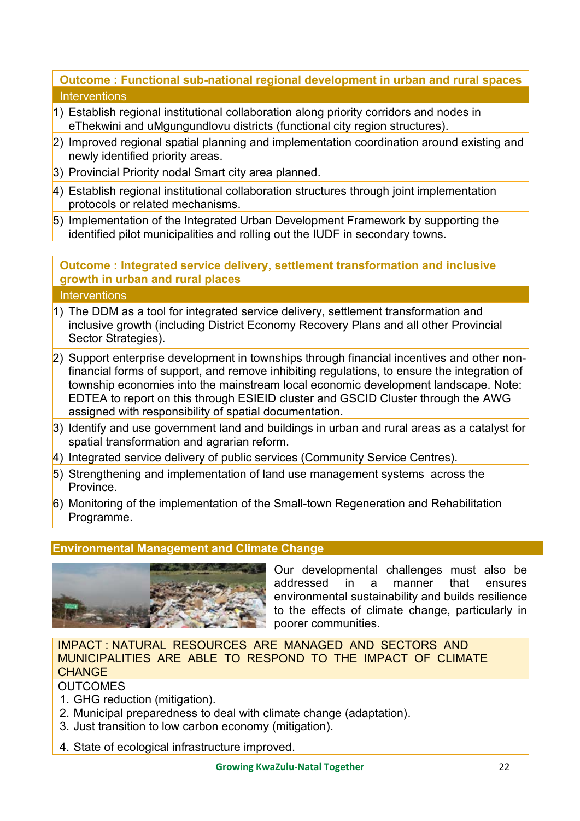### **Outcome : Functional sub-national regional development in urban and rural spaces Interventions**

- 1) Establish regional institutional collaboration along priority corridors and nodes in eThekwini and uMgungundlovu districts (functional city region structures).
- 2) Improved regional spatial planning and implementation coordination around existing and newly identified priority areas.
- 3) Provincial Priority nodal Smart city area planned.
- 4) Establish regional institutional collaboration structures through joint implementation protocols or related mechanisms.
- 5) Implementation of the Integrated Urban Development Framework by supporting the identified pilot municipalities and rolling out the IUDF in secondary towns.

### **Outcome : Integrated service delivery, settlement transformation and inclusive growth in urban and rural places**

**Interventions** 

- 1) The DDM as a tool for integrated service delivery, settlement transformation and inclusive growth (including District Economy Recovery Plans and all other Provincial Sector Strategies).
- 2) Support enterprise development in townships through financial incentives and other nonfinancial forms of support, and remove inhibiting regulations, to ensure the integration of township economies into the mainstream local economic development landscape. Note: EDTEA to report on this through ESIEID cluster and GSCID Cluster through the AWG assigned with responsibility of spatial documentation.
- 3) Identify and use government land and buildings in urban and rural areas as a catalyst for spatial transformation and agrarian reform.
- 4) Integrated service delivery of public services (Community Service Centres).
- 5) Strengthening and implementation of land use management systems across the **Province**
- 6) Monitoring of the implementation of the Small-town Regeneration and Rehabilitation Programme.

### **Environmental Management and Climate Change**



Our developmental challenges must also be addressed in a manner that ensures environmental sustainability and builds resilience to the effects of climate change, particularly in poorer communities.

### IMPACT : NATURAL RESOURCES ARE MANAGED AND SECTORS AND MUNICIPALITIES ARE ABLE TO RESPOND TO THE IMPACT OF CLIMATE **CHANGE**

### **OUTCOMES**

- 1. GHG reduction (mitigation).
- 2. Municipal preparedness to deal with climate change (adaptation).
- 3. Just transition to low carbon economy (mitigation).
- 4. State of ecological infrastructure improved.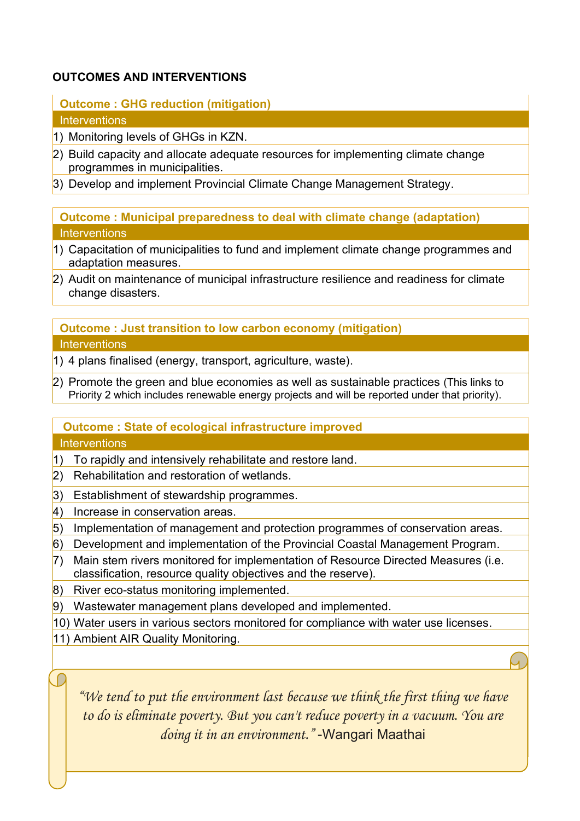### **OUTCOMES AND INTERVENTIONS**

**Outcome : GHG reduction (mitigation) Interventions** 

- 1) Monitoring levels of GHGs in KZN.
- 2) Build capacity and allocate adequate resources for implementing climate change programmes in municipalities.
- 3) Develop and implement Provincial Climate Change Management Strategy.

**Outcome : Municipal preparedness to deal with climate change (adaptation) Interventions** 

- 1) Capacitation of municipalities to fund and implement climate change programmes and adaptation measures.
- 2) Audit on maintenance of municipal infrastructure resilience and readiness for climate change disasters.

**Outcome : Just transition to low carbon economy (mitigation)**

**Interventions** 

- 1) 4 plans finalised (energy, transport, agriculture, waste).
- $\vert$ 2) Promote the green and blue economies as well as sustainable practices (This links to Priority 2 which includes renewable energy projects and will be reported under that priority).

### **Outcome : State of ecological infrastructure improved**

**Interventions** 

- 1) To rapidly and intensively rehabilitate and restore land.
- 2) Rehabilitation and restoration of wetlands.
- 3) Establishment of stewardship programmes.
- 4) Increase in conservation areas.
- 5) Implementation of management and protection programmes of conservation areas.
- 6) Development and implementation of the Provincial Coastal Management Program.
- 7) Main stem rivers monitored for implementation of Resource Directed Measures (i.e. classification, resource quality objectives and the reserve).
- 8) River eco-status monitoring implemented.
- 9) Wastewater management plans developed and implemented.
- 10) Water users in various sectors monitored for compliance with water use licenses.
- 11) Ambient AIR Quality Monitoring.

*"We tend to put the environment last because we think the first thing we have to do is eliminate poverty. But you can't reduce poverty in a vacuum. You are doing it in an environment."* -Wangari Maathai

<u>Growing KwaZulu-Natal Together 23 August 23 August 23 August 23 August 23 August 23 August 23 August 23 August 23 August 23 August 23 August 23 August 23 August 23 August 23 August 23 August 23 August 23 August 23 August </u>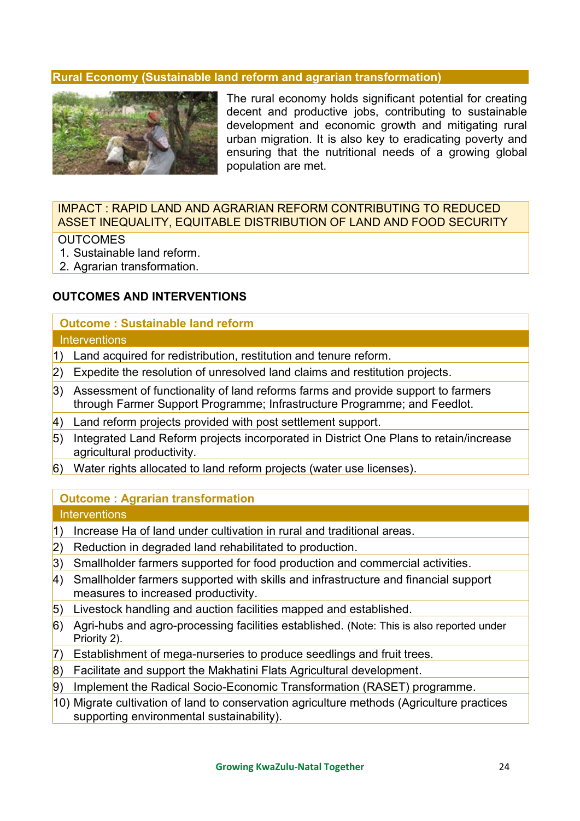#### **Rural Economy (Sustainable land reform and agrarian transformation)**



The rural economy holds significant potential for creating decent and productive jobs, contributing to sustainable development and economic growth and mitigating rural urban migration. It is also key to eradicating poverty and ensuring that the nutritional needs of a growing global population are met.

#### IMPACT : RAPID LAND AND AGRARIAN REFORM CONTRIBUTING TO REDUCED ASSET INEQUALITY, EQUITABLE DISTRIBUTION OF LAND AND FOOD SECURITY

#### **OUTCOMES**

- 1. Sustainable land reform.
- 2. Agrarian transformation.

#### **OUTCOMES AND INTERVENTIONS**

#### **Outcome : Sustainable land reform Interventions**

- 1) Land acquired for redistribution, restitution and tenure reform.
- $\vert$ 2) Expedite the resolution of unresolved land claims and restitution projects.
- $\overline{3}$ ) Assessment of functionality of land reforms farms and provide support to farmers through Farmer Support Programme; Infrastructure Programme; and Feedlot.
- $\vert$ 4) Land reform projects provided with post settlement support.
- 5) Integrated Land Reform projects incorporated in District One Plans to retain/increase agricultural productivity.
- $\vert$ 6) Water rights allocated to land reform projects (water use licenses).

### **Outcome : Agrarian transformation**

- 1) Increase Ha of land under cultivation in rural and traditional areas.
- 2) Reduction in degraded land rehabilitated to production.
- 3) Smallholder farmers supported for food production and commercial activities.
- $\vert$ 4) Smallholder farmers supported with skills and infrastructure and financial support measures to increased productivity.
- 5) Livestock handling and auction facilities mapped and established.
- $\overline{6}$ ) Agri-hubs and agro-processing facilities established. (Note: This is also reported under Priority 2).
- $\overline{7}$ ) Establishment of mega-nurseries to produce seedlings and fruit trees.
- $\vert$ 8) Facilitate and support the Makhatini Flats Agricultural development.
- 9) Implement the Radical Socio-Economic Transformation (RASET) programme.
- 10) Migrate cultivation of land to conservation agriculture methods (Agriculture practices supporting environmental sustainability).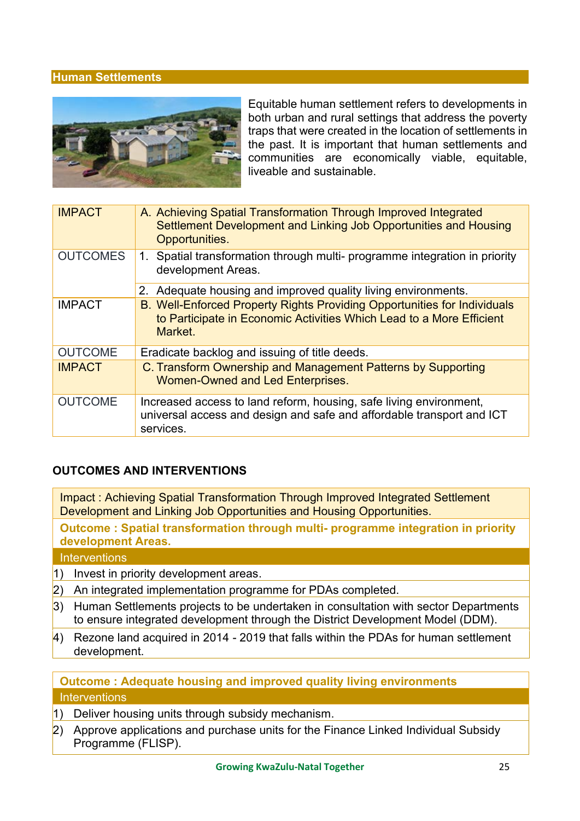#### **Human Settlements**



Equitable human settlement refers to developments in both urban and rural settings that address the poverty traps that were created in the location of settlements in the past. It is important that human settlements and communities are economically viable, equitable, liveable and sustainable.

| <b>IMPACT</b>   | A. Achieving Spatial Transformation Through Improved Integrated<br>Settlement Development and Linking Job Opportunities and Housing<br>Opportunities.       |
|-----------------|-------------------------------------------------------------------------------------------------------------------------------------------------------------|
| <b>OUTCOMES</b> | 1. Spatial transformation through multi- programme integration in priority<br>development Areas.                                                            |
|                 | 2. Adequate housing and improved quality living environments.                                                                                               |
| <b>IMPACT</b>   | B. Well-Enforced Property Rights Providing Opportunities for Individuals<br>to Participate in Economic Activities Which Lead to a More Efficient<br>Market. |
| <b>OUTCOME</b>  | Eradicate backlog and issuing of title deeds.                                                                                                               |
| <b>IMPACT</b>   | C. Transform Ownership and Management Patterns by Supporting<br>Women-Owned and Led Enterprises.                                                            |
| <b>OUTCOME</b>  | Increased access to land reform, housing, safe living environment,<br>universal access and design and safe and affordable transport and ICT<br>services.    |

#### **OUTCOMES AND INTERVENTIONS**

Impact : Achieving Spatial Transformation Through Improved Integrated Settlement Development and Linking Job Opportunities and Housing Opportunities.

**Outcome : Spatial transformation through multi- programme integration in priority development Areas.**

**Interventions** 

- 1) Invest in priority development areas.
- 2) An integrated implementation programme for PDAs completed.
- 3) Human Settlements projects to be undertaken in consultation with sector Departments to ensure integrated development through the District Development Model (DDM).
- $\vert$ 4) Rezone land acquired in 2014 2019 that falls within the PDAs for human settlement development.

#### **Outcome : Adequate housing and improved quality living environments Interventions**

- 1) Deliver housing units through subsidy mechanism.
- $\vert$ 2) Approve applications and purchase units for the Finance Linked Individual Subsidy Programme (FLISP).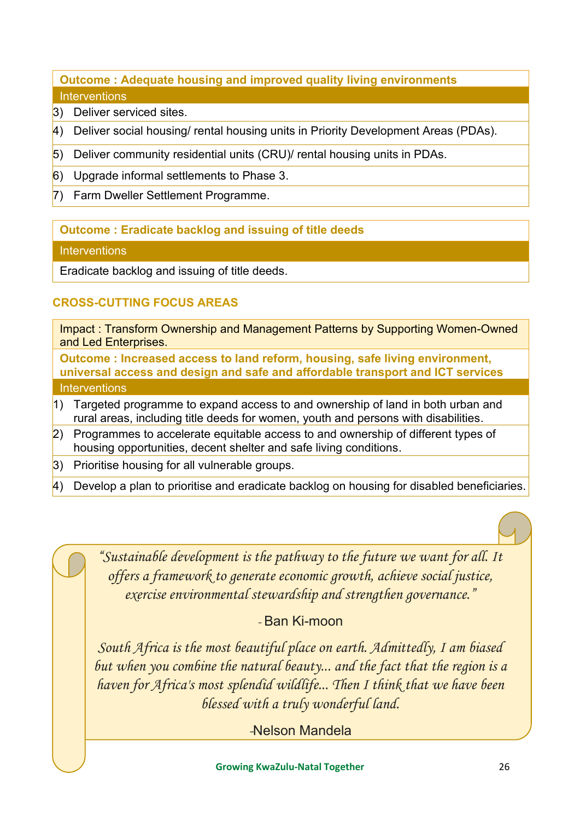### **Outcome : Adequate housing and improved quality living environments Interventions**

- 3) Deliver serviced sites
- $\vert$ 4) Deliver social housing/ rental housing units in Priority Development Areas (PDAs).
- $\vert$ 5) Deliver community residential units (CRU)/ rental housing units in PDAs.
- $\vert$ 6) Upgrade informal settlements to Phase 3.
- 7) Farm Dweller Settlement Programme.

### **Outcome : Eradicate backlog and issuing of title deeds**

#### **Interventions**

Eradicate backlog and issuing of title deeds.

### **CROSS-CUTTING FOCUS AREAS**

Impact : Transform Ownership and Management Patterns by Supporting Women-Owned and Led Enterprises.

**Outcome : Increased access to land reform, housing, safe living environment, universal access and design and safe and affordable transport and ICT services Interventions** 

- 1) Targeted programme to expand access to and ownership of land in both urban and rural areas, including title deeds for women, youth and persons with disabilities.
- 2) Programmes to accelerate equitable access to and ownership of different types of housing opportunities, decent shelter and safe living conditions.
- 3) Prioritise housing for all vulnerable groups.
- $\vert$ 4) Develop a plan to prioritise and eradicate backlog on housing for disabled beneficiaries.

*"Sustainable development is the pathway to the future we want for all. It offers a framework to generate economic growth, achieve social justice, exercise environmental stewardship and strengthen governance."*

### *-* Ban Ki-moon

*South Africa is the most beautiful place on earth. Admittedly, I am biased but when you combine the natural beauty... and the fact that the region is a haven for Africa's most splendid wildlife... Then I think that we have been blessed with a truly wonderful land.*

*-*Nelson Mandela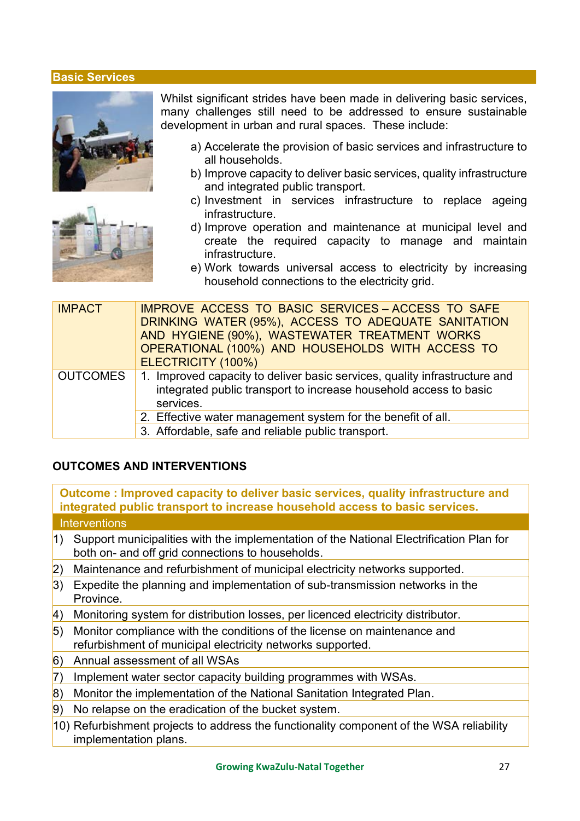#### **Basic Services**





Whilst significant strides have been made in delivering basic services, many challenges still need to be addressed to ensure sustainable development in urban and rural spaces. These include:

- a) Accelerate the provision of basic services and infrastructure to all households.
- b) Improve capacity to deliver basic services, quality infrastructure and integrated public transport.
- c) Investment in services infrastructure to replace ageing infrastructure.
- d) Improve operation and maintenance at municipal level and create the required capacity to manage and maintain infrastructure.
- e) Work towards universal access to electricity by increasing household connections to the electricity grid.

| <b>IMPACT</b>   | <b>IMPROVE ACCESS TO BASIC SERVICES - ACCESS TO SAFE</b><br>DRINKING WATER (95%), ACCESS TO ADEQUATE SANITATION<br>AND HYGIENE (90%), WASTEWATER TREATMENT WORKS<br>OPERATIONAL (100%) AND HOUSEHOLDS WITH ACCESS TO<br>ELECTRICITY (100%) |
|-----------------|--------------------------------------------------------------------------------------------------------------------------------------------------------------------------------------------------------------------------------------------|
| <b>OUTCOMES</b> | 1. Improved capacity to deliver basic services, quality infrastructure and<br>integrated public transport to increase household access to basic<br>services.                                                                               |
|                 | 2. Effective water management system for the benefit of all.                                                                                                                                                                               |
|                 | 3. Affordable, safe and reliable public transport.                                                                                                                                                                                         |

#### **OUTCOMES AND INTERVENTIONS**

**Outcome : Improved capacity to deliver basic services, quality infrastructure and integrated public transport to increase household access to basic services. Interventions** 

- 1) Support municipalities with the implementation of the National Electrification Plan for both on- and off grid connections to households.
- 2) Maintenance and refurbishment of municipal electricity networks supported.
- $\overline{3}$ ) Expedite the planning and implementation of sub-transmission networks in the Province.
- 4) Monitoring system for distribution losses, per licenced electricity distributor.
- 5) Monitor compliance with the conditions of the license on maintenance and refurbishment of municipal electricity networks supported.
- 6) Annual assessment of all WSAs
- 7) Implement water sector capacity building programmes with WSAs.
- 8) Monitor the implementation of the National Sanitation Integrated Plan.
- $\vert$ 9) No relapse on the eradication of the bucket system.
- 10) Refurbishment projects to address the functionality component of the WSA reliability implementation plans.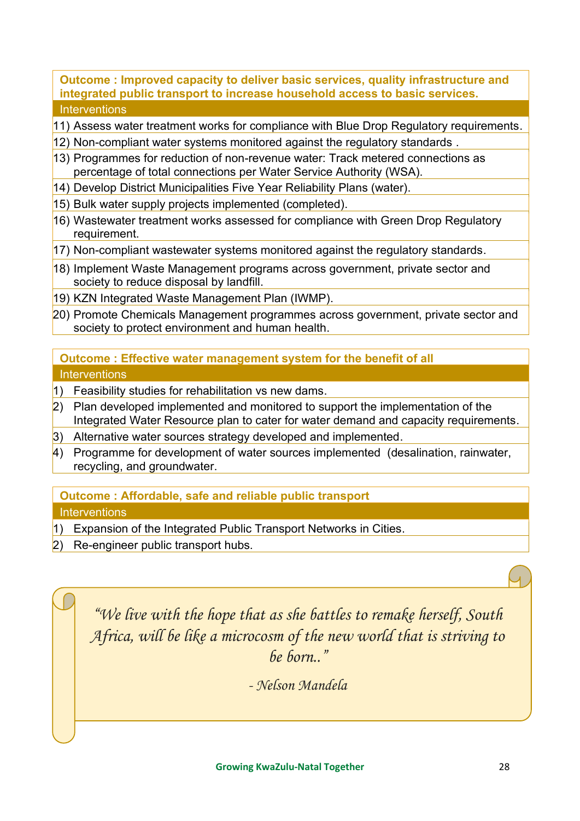#### **Outcome : Improved capacity to deliver basic services, quality infrastructure and integrated public transport to increase household access to basic services. Interventions**

11) Assess water treatment works for compliance with Blue Drop Regulatory requirements.

- 12) Non-compliant water systems monitored against the regulatory standards .
- 13) Programmes for reduction of non-revenue water: Track metered connections as percentage of total connections per Water Service Authority (WSA).
- 14) Develop District Municipalities Five Year Reliability Plans (water).
- 15) Bulk water supply projects implemented (completed).
- 16) Wastewater treatment works assessed for compliance with Green Drop Regulatory requirement.
- 17) Non-compliant wastewater systems monitored against the regulatory standards.
- 18) Implement Waste Management programs across government, private sector and society to reduce disposal by landfill.
- 19) KZN Integrated Waste Management Plan (IWMP).
- 20) Promote Chemicals Management programmes across government, private sector and society to protect environment and human health.

### **Outcome : Effective water management system for the benefit of all Interventions**

- 1) Feasibility studies for rehabilitation vs new dams.
- $\vert$ 2) Plan developed implemented and monitored to support the implementation of the Integrated Water Resource plan to cater for water demand and capacity requirements.
- 3) Alternative water sources strategy developed and implemented.
- $\vert$ 4) Programme for development of water sources implemented (desalination, rainwater, recycling, and groundwater.

### **Outcome : Affordable, safe and reliable public transport**

### **Interventions**

- 1) Expansion of the Integrated Public Transport Networks in Cities.
- 2) Re-engineer public transport hubs.

*"We live with the hope that as she battles to remake herself, South Africa, will be like a microcosm of the new world that is striving to be born.."*

*- Nelson Mandela*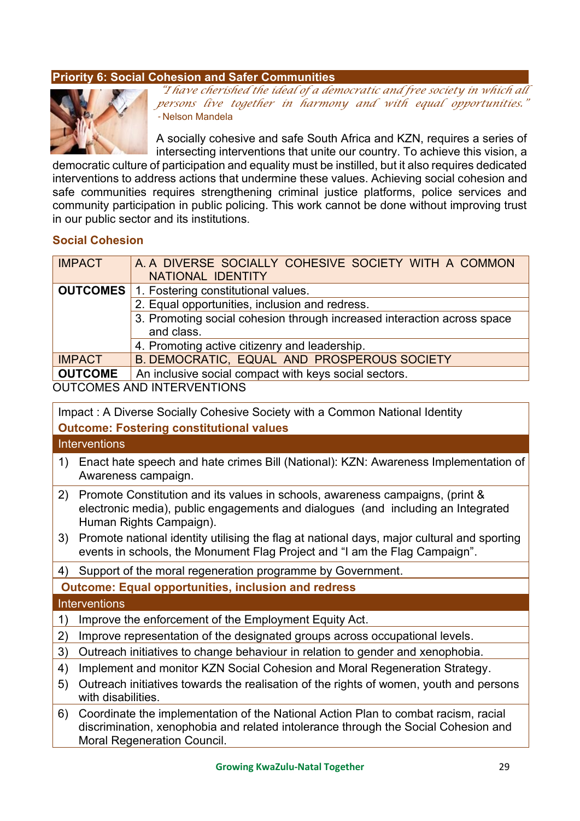#### <span id="page-29-0"></span>**Priority 6: Social Cohesion and Safer Communities**



*"I have cherished the ideal of a democratic and free society in which all persons live together in harmony and with equal opportunities." -* Nelson Mandela

A socially cohesive and safe South Africa and KZN, requires a series of intersecting interventions that unite our country. To achieve this vision, a

democratic culture of participation and equality must be instilled, but it also requires dedicated interventions to address actions that undermine these values. Achieving social cohesion and safe communities requires strengthening criminal justice platforms, police services and community participation in public policing. This work cannot be done without improving trust in our public sector and its institutions.

#### **Social Cohesion**

| <b>IMPACT</b>   | A. A DIVERSE SOCIALLY COHESIVE SOCIETY WITH A COMMON<br>NATIONAL IDENTITY |
|-----------------|---------------------------------------------------------------------------|
| <b>OUTCOMES</b> | 1. Fostering constitutional values.                                       |
|                 | 2. Equal opportunities, inclusion and redress.                            |
|                 | 3. Promoting social cohesion through increased interaction across space   |
|                 | and class.                                                                |
|                 | 4. Promoting active citizenry and leadership.                             |
| <b>IMPACT</b>   | B. DEMOCRATIC, EQUAL AND PROSPEROUS SOCIETY                               |
| <b>OUTCOME</b>  | An inclusive social compact with keys social sectors.                     |

OUTCOMES AND INTERVENTIONS

Impact : A Diverse Socially Cohesive Society with a Common National Identity

#### **Outcome: Fostering constitutional values**

**Interventions** 

- 1) Enact hate speech and hate crimes Bill (National): KZN: Awareness Implementation of Awareness campaign.
- 2) Promote Constitution and its values in schools, awareness campaigns, (print & electronic media), public engagements and dialogues (and including an Integrated Human Rights Campaign).
- 3) Promote national identity utilising the flag at national days, major cultural and sporting events in schools, the Monument Flag Project and "I am the Flag Campaign".

4) Support of the moral regeneration programme by Government.

**Outcome: Equal opportunities, inclusion and redress**

- 1) Improve the enforcement of the Employment Equity Act.
- 2) Improve representation of the designated groups across occupational levels.
- 3) Outreach initiatives to change behaviour in relation to gender and xenophobia.
- 4) Implement and monitor KZN Social Cohesion and Moral Regeneration Strategy.
- 5) Outreach initiatives towards the realisation of the rights of women, youth and persons with disabilities.
- 6) Coordinate the implementation of the National Action Plan to combat racism, racial discrimination, xenophobia and related intolerance through the Social Cohesion and Moral Regeneration Council.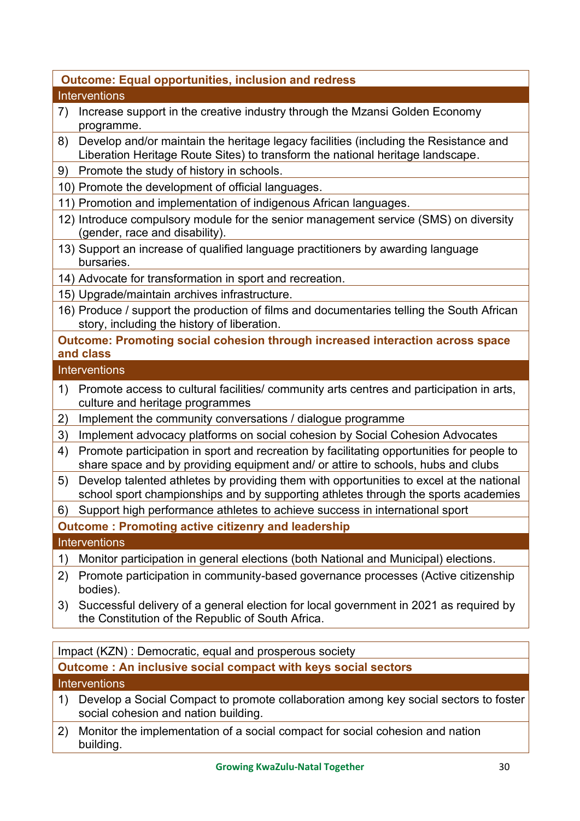### **Outcome: Equal opportunities, inclusion and redress**

#### **Interventions**

- 7) Increase support in the creative industry through the Mzansi Golden Economy programme.
- 8) Develop and/or maintain the heritage legacy facilities (including the Resistance and Liberation Heritage Route Sites) to transform the national heritage landscape.
- 9) Promote the study of history in schools.
- 10) Promote the development of official languages.
- 11) Promotion and implementation of indigenous African languages.
- 12) Introduce compulsory module for the senior management service (SMS) on diversity (gender, race and disability).
- 13) Support an increase of qualified language practitioners by awarding language bursaries.
- 14) Advocate for transformation in sport and recreation.
- 15) Upgrade/maintain archives infrastructure.
- 16) Produce / support the production of films and documentaries telling the South African story, including the history of liberation.

#### **Outcome: Promoting social cohesion through increased interaction across space and class**

#### **Interventions**

- 1) Promote access to cultural facilities/ community arts centres and participation in arts, culture and heritage programmes
- 2) Implement the community conversations / dialogue programme
- 3) Implement advocacy platforms on social cohesion by Social Cohesion Advocates
- 4) Promote participation in sport and recreation by facilitating opportunities for people to share space and by providing equipment and/ or attire to schools, hubs and clubs
- 5) Develop talented athletes by providing them with opportunities to excel at the national school sport championships and by supporting athletes through the sports academies
- 6) Support high performance athletes to achieve success in international sport
- **Outcome : Promoting active citizenry and leadership**

#### **Interventions**

- 1) Monitor participation in general elections (both National and Municipal) elections.
- 2) Promote participation in community-based governance processes (Active citizenship bodies).
- 3) Successful delivery of a general election for local government in 2021 as required by the Constitution of the Republic of South Africa.

Impact (KZN) : Democratic, equal and prosperous society

**Outcome : An inclusive social compact with keys social sectors** 

- 1) Develop a Social Compact to promote collaboration among key social sectors to foster social cohesion and nation building.
- 2) Monitor the implementation of a social compact for social cohesion and nation building.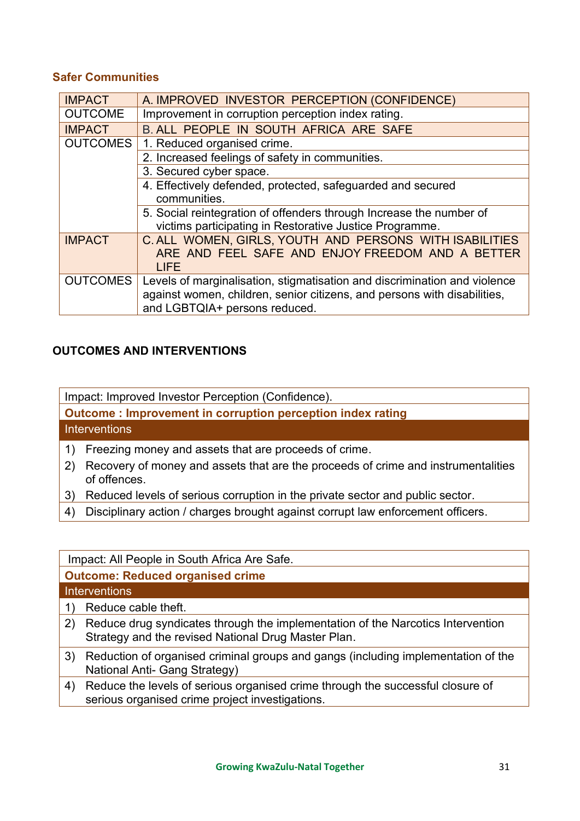#### **Safer Communities**

| <b>IMPACT</b>                                  | A. IMPROVED INVESTOR PERCEPTION (CONFIDENCE)                              |
|------------------------------------------------|---------------------------------------------------------------------------|
| <b>OUTCOME</b>                                 | Improvement in corruption perception index rating.                        |
| <b>IMPACT</b>                                  | B. ALL PEOPLE IN SOUTH AFRICA ARE SAFE                                    |
| <b>OUTCOMES</b><br>1. Reduced organised crime. |                                                                           |
|                                                | 2. Increased feelings of safety in communities.                           |
|                                                | 3. Secured cyber space.                                                   |
|                                                | 4. Effectively defended, protected, safeguarded and secured               |
|                                                | communities.                                                              |
|                                                | 5. Social reintegration of offenders through Increase the number of       |
|                                                | victims participating in Restorative Justice Programme.                   |
| <b>IMPACT</b>                                  | C. ALL WOMEN, GIRLS, YOUTH AND PERSONS WITH ISABILITIES                   |
|                                                | ARE AND FEEL SAFE AND ENJOY FREEDOM AND A BETTER                          |
|                                                | LIFE                                                                      |
| <b>OUTCOMES</b>                                | Levels of marginalisation, stigmatisation and discrimination and violence |
|                                                | against women, children, senior citizens, and persons with disabilities,  |
|                                                | and LGBTQIA+ persons reduced.                                             |

### **OUTCOMES AND INTERVENTIONS**

Impact: Improved Investor Perception (Confidence).

**Outcome : Improvement in corruption perception index rating** 

**Interventions** 

- 1) Freezing money and assets that are proceeds of crime.
- 2) Recovery of money and assets that are the proceeds of crime and instrumentalities of offences.
- 3) Reduced levels of serious corruption in the private sector and public sector.
- 4) Disciplinary action / charges brought against corrupt law enforcement officers.

Impact: All People in South Africa Are Safe.

#### **Outcome: Reduced organised crime Interventions**

- 1) Reduce cable theft.
- 2) Reduce drug syndicates through the implementation of the Narcotics Intervention Strategy and the revised National Drug Master Plan.
- 3) Reduction of organised criminal groups and gangs (including implementation of the National Anti- Gang Strategy)
- 4) Reduce the levels of serious organised crime through the successful closure of serious organised crime project investigations.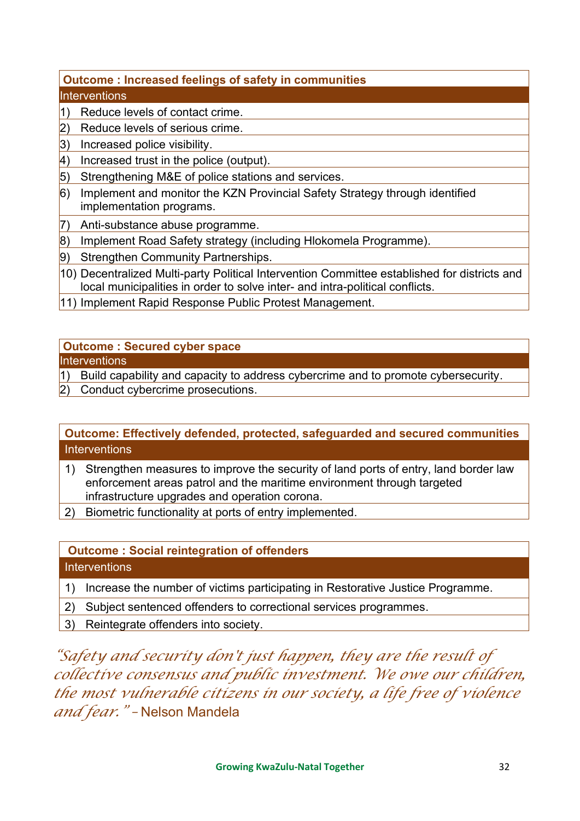### **Outcome : Increased feelings of safety in communities**

### **Interventions**

- $\vert$ 1) Reduce levels of contact crime.
- 2) Reduce levels of serious crime.
- 3) Increased police visibility.
- $\vert 4$ ) Increased trust in the police (output).
- 5) Strengthening M&E of police stations and services.
- 6) Implement and monitor the KZN Provincial Safety Strategy through identified implementation programs.
- 7) Anti-substance abuse programme.
- 8) Implement Road Safety strategy (including Hlokomela Programme).
- 9) Strengthen Community Partnerships.
- 10) Decentralized Multi-party Political Intervention Committee established for districts and local municipalities in order to solve inter- and intra-political conflicts.
- 11) Implement Rapid Response Public Protest Management.

### **Outcome : Secured cyber space**

### **Interventions**

- $|1)$  Build capability and capacity to address cybercrime and to promote cybersecurity.
- 2) Conduct cybercrime prosecutions.

### **Outcome: Effectively defended, protected, safeguarded and secured communities Interventions**

- 1) Strengthen measures to improve the security of land ports of entry, land border law enforcement areas patrol and the maritime environment through targeted infrastructure upgrades and operation corona.
- 2) Biometric functionality at ports of entry implemented.

# **Outcome : Social reintegration of offenders**

### **Interventions**

- 1) Increase the number of victims participating in Restorative Justice Programme.
- 2) Subject sentenced offenders to correctional services programmes.
- 3) Reintegrate offenders into society.

*"Safety and security don't just happen, they are the result of collective consensus and public investment. We owe our children, the most vulnerable citizens in our society, a life free of violence and fear." –* Nelson Mandela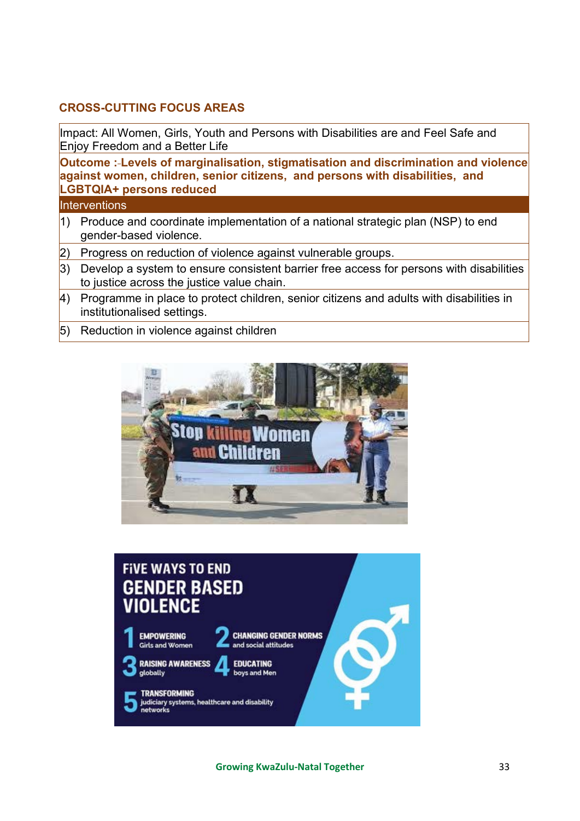### **CROSS-CUTTING FOCUS AREAS**

Impact: All Women, Girls, Youth and Persons with Disabilities are and Feel Safe and Enjoy Freedom and a Better Life

**Outcome : Levels of marginalisation, stigmatisation and discrimination and violence against women, children, senior citizens, and persons with disabilities, and LGBTQIA+ persons reduced** 

- 1) Produce and coordinate implementation of a national strategic plan (NSP) to end gender-based violence.
- 2) Progress on reduction of violence against vulnerable groups.
- 3) Develop a system to ensure consistent barrier free access for persons with disabilities to justice across the justice value chain.
- $\vert$ 4) Programme in place to protect children, senior citizens and adults with disabilities in institutionalised settings.
- 5) Reduction in violence against children



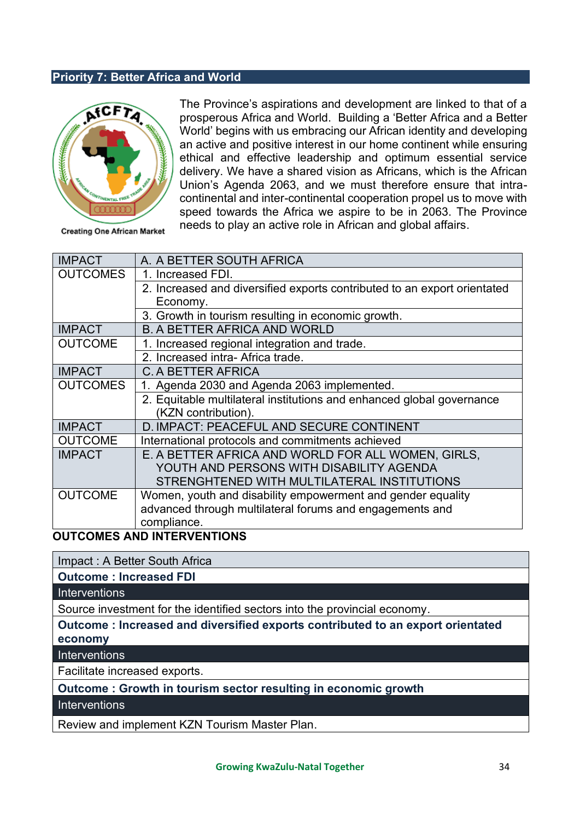#### <span id="page-34-0"></span>**Priority 7: Better Africa and World**



<span id="page-34-1"></span>The Province's aspirations and development are linked to that of a prosperous Africa and World. Building a 'Better Africa and a Better World' begins with us embracing our African identity and developing an active and positive interest in our home continent while ensuring ethical and effective leadership and optimum essential service delivery. We have a shared vision as Africans, which is the African Union's Agenda 2063, and we must therefore ensure that intracontinental and inter-continental cooperation propel us to move with speed towards the Africa we aspire to be in 2063. The Province needs to play an active role in African and global affairs.

Creating One African Market

| <b>IMPACT</b>   | A. A BETTER SOUTH AFRICA                                                 |
|-----------------|--------------------------------------------------------------------------|
| <b>OUTCOMES</b> | 1. Increased FDI.                                                        |
|                 | 2. Increased and diversified exports contributed to an export orientated |
|                 | Economy.                                                                 |
|                 | 3. Growth in tourism resulting in economic growth.                       |
| <b>IMPACT</b>   | <b>B. A BETTER AFRICA AND WORLD</b>                                      |
| <b>OUTCOME</b>  | 1. Increased regional integration and trade.                             |
|                 | 2. Increased intra-Africa trade.                                         |
| <b>IMPACT</b>   | C. A BETTER AFRICA                                                       |
| <b>OUTCOMES</b> | 1. Agenda 2030 and Agenda 2063 implemented.                              |
|                 | 2. Equitable multilateral institutions and enhanced global governance    |
|                 | (KZN contribution).                                                      |
| <b>IMPACT</b>   | D. IMPACT: PEACEFUL AND SECURE CONTINENT                                 |
| <b>OUTCOME</b>  | International protocols and commitments achieved                         |
| <b>IMPACT</b>   | E. A BETTER AFRICA AND WORLD FOR ALL WOMEN, GIRLS,                       |
|                 | YOUTH AND PERSONS WITH DISABILITY AGENDA                                 |
|                 | STRENGHTENED WITH MULTILATERAL INSTITUTIONS                              |
| <b>OUTCOME</b>  | Women, youth and disability empowerment and gender equality              |
|                 | advanced through multilateral forums and engagements and                 |
|                 | compliance.                                                              |

#### **OUTCOMES AND INTERVENTIONS**

Impact : A Better South Africa

**Outcome : Increased FDI**

**Interventions** 

Source investment for the identified sectors into the provincial economy.

**Outcome : Increased and diversified exports contributed to an export orientated economy**

**Interventions** 

Facilitate increased exports.

**Outcome : Growth in tourism sector resulting in economic growth**

**Interventions** 

Review and implement KZN Tourism Master Plan.